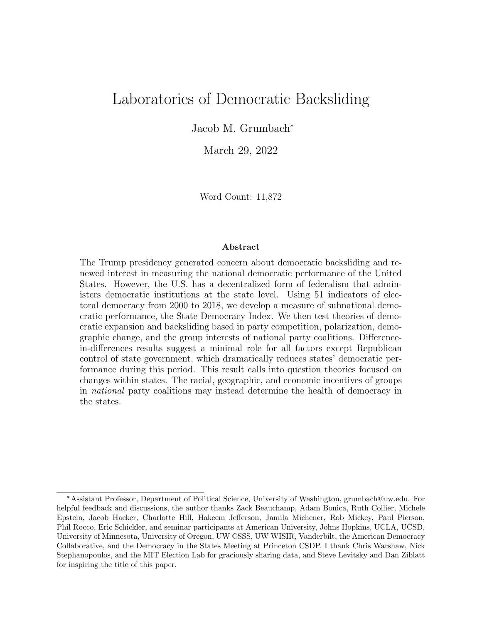# Laboratories of Democratic Backsliding

Jacob M. Grumbach\*

March 29, 2022

Word Count: 11,872

#### Abstract

The Trump presidency generated concern about democratic backsliding and renewed interest in measuring the national democratic performance of the United States. However, the U.S. has a decentralized form of federalism that administers democratic institutions at the state level. Using 51 indicators of electoral democracy from 2000 to 2018, we develop a measure of subnational democratic performance, the State Democracy Index. We then test theories of democratic expansion and backsliding based in party competition, polarization, demographic change, and the group interests of national party coalitions. Differencein-differences results suggest a minimal role for all factors except Republican control of state government, which dramatically reduces states' democratic performance during this period. This result calls into question theories focused on changes within states. The racial, geographic, and economic incentives of groups in national party coalitions may instead determine the health of democracy in the states.

<sup>\*</sup>Assistant Professor, Department of Political Science, University of Washington, grumbach@uw.edu. For helpful feedback and discussions, the author thanks Zack Beauchamp, Adam Bonica, Ruth Collier, Michele Epstein, Jacob Hacker, Charlotte Hill, Hakeem Jefferson, Jamila Michener, Rob Mickey, Paul Pierson, Phil Rocco, Eric Schickler, and seminar participants at American University, Johns Hopkins, UCLA, UCSD, University of Minnesota, University of Oregon, UW CSSS, UW WISIR, Vanderbilt, the American Democracy Collaborative, and the Democracy in the States Meeting at Princeton CSDP. I thank Chris Warshaw, Nick Stephanopoulos, and the MIT Election Lab for graciously sharing data, and Steve Levitsky and Dan Ziblatt for inspiring the title of this paper.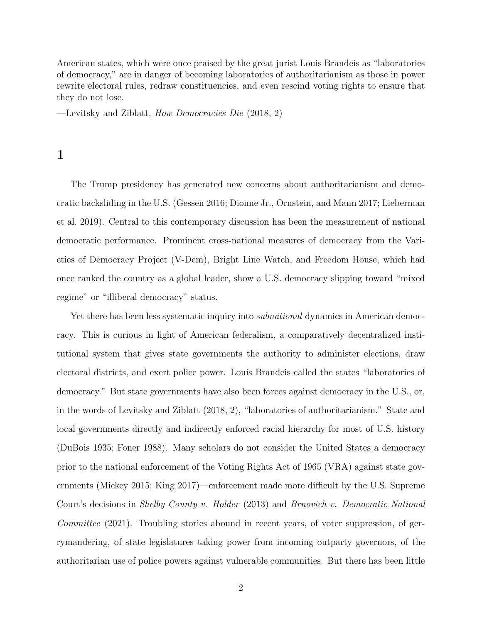American states, which were once praised by the great jurist Louis Brandeis as "laboratories of democracy," are in danger of becoming laboratories of authoritarianism as those in power rewrite electoral rules, redraw constituencies, and even rescind voting rights to ensure that they do not lose.

—Levitsky and Ziblatt, How Democracies Die (2018, 2)

1

The Trump presidency has generated new concerns about authoritarianism and democratic backsliding in the U.S. (Gessen 2016; Dionne Jr., Ornstein, and Mann 2017; Lieberman et al. 2019). Central to this contemporary discussion has been the measurement of national democratic performance. Prominent cross-national measures of democracy from the Varieties of Democracy Project (V-Dem), Bright Line Watch, and Freedom House, which had once ranked the country as a global leader, show a U.S. democracy slipping toward "mixed regime" or "illiberal democracy" status.

Yet there has been less systematic inquiry into *subnational* dynamics in American democracy. This is curious in light of American federalism, a comparatively decentralized institutional system that gives state governments the authority to administer elections, draw electoral districts, and exert police power. Louis Brandeis called the states "laboratories of democracy." But state governments have also been forces against democracy in the U.S., or, in the words of Levitsky and Ziblatt (2018, 2), "laboratories of authoritarianism." State and local governments directly and indirectly enforced racial hierarchy for most of U.S. history (DuBois 1935; Foner 1988). Many scholars do not consider the United States a democracy prior to the national enforcement of the Voting Rights Act of 1965 (VRA) against state governments (Mickey 2015; King 2017)—enforcement made more difficult by the U.S. Supreme Court's decisions in Shelby County v. Holder (2013) and Brnovich v. Democratic National Committee (2021). Troubling stories abound in recent years, of voter suppression, of gerrymandering, of state legislatures taking power from incoming outparty governors, of the authoritarian use of police powers against vulnerable communities. But there has been little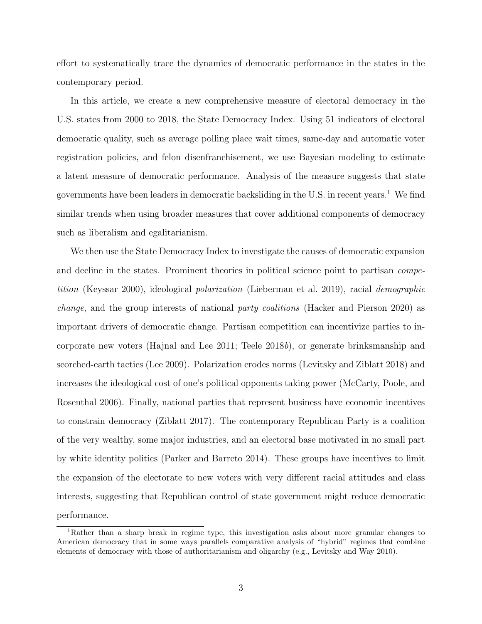effort to systematically trace the dynamics of democratic performance in the states in the contemporary period.

In this article, we create a new comprehensive measure of electoral democracy in the U.S. states from 2000 to 2018, the State Democracy Index. Using 51 indicators of electoral democratic quality, such as average polling place wait times, same-day and automatic voter registration policies, and felon disenfranchisement, we use Bayesian modeling to estimate a latent measure of democratic performance. Analysis of the measure suggests that state governments have been leaders in democratic backsliding in the U.S. in recent years.<sup>1</sup> We find similar trends when using broader measures that cover additional components of democracy such as liberalism and egalitarianism.

We then use the State Democracy Index to investigate the causes of democratic expansion and decline in the states. Prominent theories in political science point to partisan competition (Keyssar 2000), ideological polarization (Lieberman et al. 2019), racial demographic change, and the group interests of national party coalitions (Hacker and Pierson 2020) as important drivers of democratic change. Partisan competition can incentivize parties to incorporate new voters (Hajnal and Lee 2011; Teele 2018b), or generate brinksmanship and scorched-earth tactics (Lee 2009). Polarization erodes norms (Levitsky and Ziblatt 2018) and increases the ideological cost of one's political opponents taking power (McCarty, Poole, and Rosenthal 2006). Finally, national parties that represent business have economic incentives to constrain democracy (Ziblatt 2017). The contemporary Republican Party is a coalition of the very wealthy, some major industries, and an electoral base motivated in no small part by white identity politics (Parker and Barreto 2014). These groups have incentives to limit the expansion of the electorate to new voters with very different racial attitudes and class interests, suggesting that Republican control of state government might reduce democratic performance.

<sup>1</sup>Rather than a sharp break in regime type, this investigation asks about more granular changes to American democracy that in some ways parallels comparative analysis of "hybrid" regimes that combine elements of democracy with those of authoritarianism and oligarchy (e.g., Levitsky and Way 2010).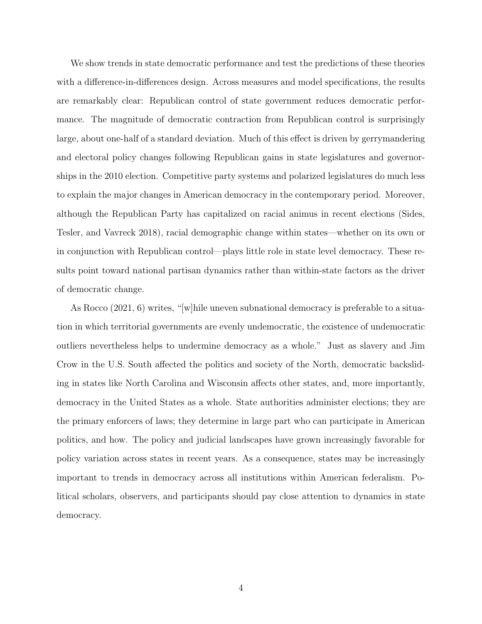We show trends in state democratic performance and test the predictions of these theories with a difference-in-differences design. Across measures and model specifications, the results are remarkably clear: Republican control of state government reduces democratic performance. The magnitude of democratic contraction from Republican control is surprisingly large, about one-half of a standard deviation. Much of this effect is driven by gerrymandering and electoral policy changes following Republican gains in state legislatures and governorships in the 2010 election. Competitive party systems and polarized legislatures do much less to explain the major changes in American democracy in the contemporary period. Moreover, although the Republican Party has capitalized on racial animus in recent elections (Sides, Tesler, and Vavreck 2018), racial demographic change within states—whether on its own or in conjunction with Republican control—plays little role in state level democracy. These results point toward national partisan dynamics rather than within-state factors as the driver of democratic change.

As Rocco (2021, 6) writes, "[w]hile uneven subnational democracy is preferable to a situation in which territorial governments are evenly undemocratic, the existence of undemocratic outliers nevertheless helps to undermine democracy as a whole." Just as slavery and Jim Crow in the U.S. South affected the politics and society of the North, democratic backsliding in states like North Carolina and Wisconsin affects other states, and, more importantly, democracy in the United States as a whole. State authorities administer elections; they are the primary enforcers of laws; they determine in large part who can participate in American politics, and how. The policy and judicial landscapes have grown increasingly favorable for policy variation across states in recent years. As a consequence, states may be increasingly important to trends in democracy across all institutions within American federalism. Political scholars, observers, and participants should pay close attention to dynamics in state democracy.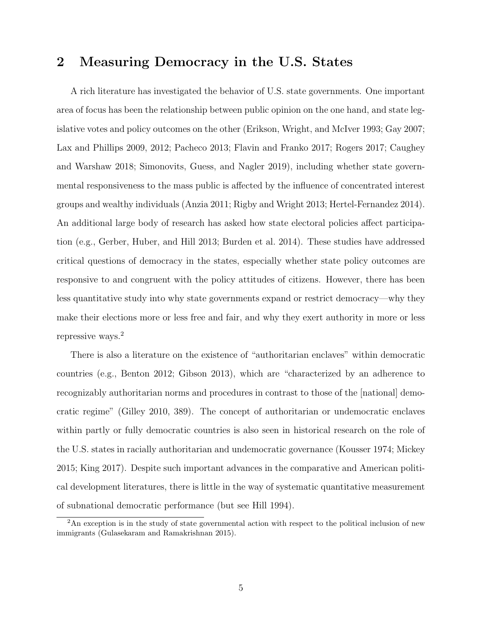### 2 Measuring Democracy in the U.S. States

A rich literature has investigated the behavior of U.S. state governments. One important area of focus has been the relationship between public opinion on the one hand, and state legislative votes and policy outcomes on the other (Erikson, Wright, and McIver 1993; Gay 2007; Lax and Phillips 2009, 2012; Pacheco 2013; Flavin and Franko 2017; Rogers 2017; Caughey and Warshaw 2018; Simonovits, Guess, and Nagler 2019), including whether state governmental responsiveness to the mass public is affected by the influence of concentrated interest groups and wealthy individuals (Anzia 2011; Rigby and Wright 2013; Hertel-Fernandez 2014). An additional large body of research has asked how state electoral policies affect participation (e.g., Gerber, Huber, and Hill 2013; Burden et al. 2014). These studies have addressed critical questions of democracy in the states, especially whether state policy outcomes are responsive to and congruent with the policy attitudes of citizens. However, there has been less quantitative study into why state governments expand or restrict democracy—why they make their elections more or less free and fair, and why they exert authority in more or less repressive ways.<sup>2</sup>

There is also a literature on the existence of "authoritarian enclaves" within democratic countries (e.g., Benton 2012; Gibson 2013), which are "characterized by an adherence to recognizably authoritarian norms and procedures in contrast to those of the [national] democratic regime" (Gilley 2010, 389). The concept of authoritarian or undemocratic enclaves within partly or fully democratic countries is also seen in historical research on the role of the U.S. states in racially authoritarian and undemocratic governance (Kousser 1974; Mickey 2015; King 2017). Despite such important advances in the comparative and American political development literatures, there is little in the way of systematic quantitative measurement of subnational democratic performance (but see Hill 1994).

<sup>&</sup>lt;sup>2</sup>An exception is in the study of state governmental action with respect to the political inclusion of new immigrants (Gulasekaram and Ramakrishnan 2015).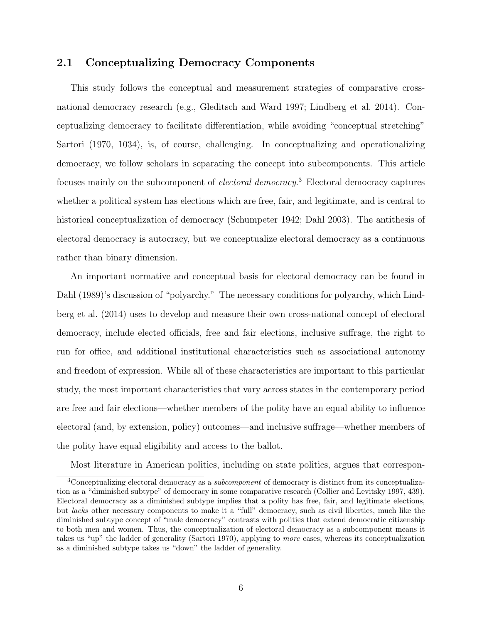### 2.1 Conceptualizing Democracy Components

This study follows the conceptual and measurement strategies of comparative crossnational democracy research (e.g., Gleditsch and Ward 1997; Lindberg et al. 2014). Conceptualizing democracy to facilitate differentiation, while avoiding "conceptual stretching" Sartori (1970, 1034), is, of course, challenging. In conceptualizing and operationalizing democracy, we follow scholars in separating the concept into subcomponents. This article focuses mainly on the subcomponent of *electoral democracy*.<sup>3</sup> Electoral democracy captures whether a political system has elections which are free, fair, and legitimate, and is central to historical conceptualization of democracy (Schumpeter 1942; Dahl 2003). The antithesis of electoral democracy is autocracy, but we conceptualize electoral democracy as a continuous rather than binary dimension.

An important normative and conceptual basis for electoral democracy can be found in Dahl (1989)'s discussion of "polyarchy." The necessary conditions for polyarchy, which Lindberg et al. (2014) uses to develop and measure their own cross-national concept of electoral democracy, include elected officials, free and fair elections, inclusive suffrage, the right to run for office, and additional institutional characteristics such as associational autonomy and freedom of expression. While all of these characteristics are important to this particular study, the most important characteristics that vary across states in the contemporary period are free and fair elections—whether members of the polity have an equal ability to influence electoral (and, by extension, policy) outcomes—and inclusive suffrage—whether members of the polity have equal eligibility and access to the ballot.

Most literature in American politics, including on state politics, argues that correspon-

<sup>&</sup>lt;sup>3</sup>Conceptualizing electoral democracy as a *subcomponent* of democracy is distinct from its conceptualization as a "diminished subtype" of democracy in some comparative research (Collier and Levitsky 1997, 439). Electoral democracy as a diminished subtype implies that a polity has free, fair, and legitimate elections, but lacks other necessary components to make it a "full" democracy, such as civil liberties, much like the diminished subtype concept of "male democracy" contrasts with polities that extend democratic citizenship to both men and women. Thus, the conceptualization of electoral democracy as a subcomponent means it takes us "up" the ladder of generality (Sartori 1970), applying to more cases, whereas its conceptualization as a diminished subtype takes us "down" the ladder of generality.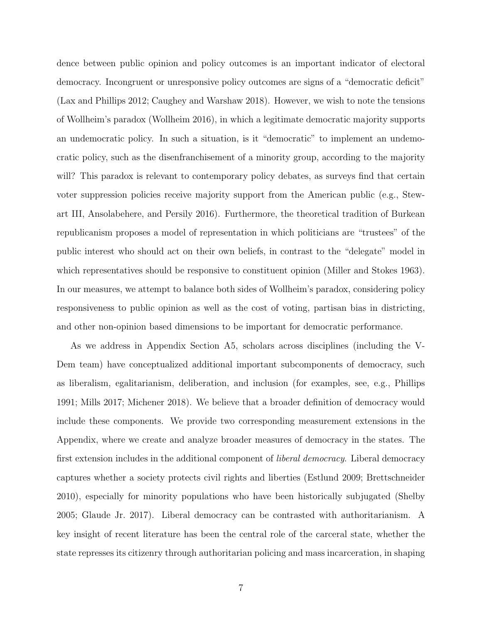dence between public opinion and policy outcomes is an important indicator of electoral democracy. Incongruent or unresponsive policy outcomes are signs of a "democratic deficit" (Lax and Phillips 2012; Caughey and Warshaw 2018). However, we wish to note the tensions of Wollheim's paradox (Wollheim 2016), in which a legitimate democratic majority supports an undemocratic policy. In such a situation, is it "democratic" to implement an undemocratic policy, such as the disenfranchisement of a minority group, according to the majority will? This paradox is relevant to contemporary policy debates, as surveys find that certain voter suppression policies receive majority support from the American public (e.g., Stewart III, Ansolabehere, and Persily 2016). Furthermore, the theoretical tradition of Burkean republicanism proposes a model of representation in which politicians are "trustees" of the public interest who should act on their own beliefs, in contrast to the "delegate" model in which representatives should be responsive to constituent opinion (Miller and Stokes 1963). In our measures, we attempt to balance both sides of Wollheim's paradox, considering policy responsiveness to public opinion as well as the cost of voting, partisan bias in districting, and other non-opinion based dimensions to be important for democratic performance.

As we address in Appendix Section A5, scholars across disciplines (including the V-Dem team) have conceptualized additional important subcomponents of democracy, such as liberalism, egalitarianism, deliberation, and inclusion (for examples, see, e.g., Phillips 1991; Mills 2017; Michener 2018). We believe that a broader definition of democracy would include these components. We provide two corresponding measurement extensions in the Appendix, where we create and analyze broader measures of democracy in the states. The first extension includes in the additional component of *liberal democracy*. Liberal democracy captures whether a society protects civil rights and liberties (Estlund 2009; Brettschneider 2010), especially for minority populations who have been historically subjugated (Shelby 2005; Glaude Jr. 2017). Liberal democracy can be contrasted with authoritarianism. A key insight of recent literature has been the central role of the carceral state, whether the state represses its citizenry through authoritarian policing and mass incarceration, in shaping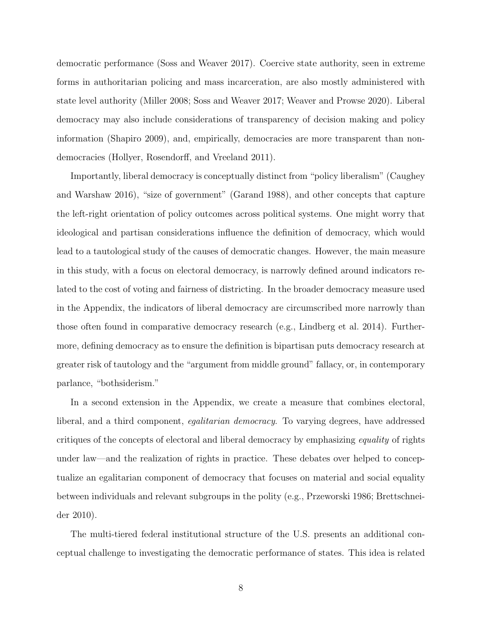democratic performance (Soss and Weaver 2017). Coercive state authority, seen in extreme forms in authoritarian policing and mass incarceration, are also mostly administered with state level authority (Miller 2008; Soss and Weaver 2017; Weaver and Prowse 2020). Liberal democracy may also include considerations of transparency of decision making and policy information (Shapiro 2009), and, empirically, democracies are more transparent than nondemocracies (Hollyer, Rosendorff, and Vreeland 2011).

Importantly, liberal democracy is conceptually distinct from "policy liberalism" (Caughey and Warshaw 2016), "size of government" (Garand 1988), and other concepts that capture the left-right orientation of policy outcomes across political systems. One might worry that ideological and partisan considerations influence the definition of democracy, which would lead to a tautological study of the causes of democratic changes. However, the main measure in this study, with a focus on electoral democracy, is narrowly defined around indicators related to the cost of voting and fairness of districting. In the broader democracy measure used in the Appendix, the indicators of liberal democracy are circumscribed more narrowly than those often found in comparative democracy research (e.g., Lindberg et al. 2014). Furthermore, defining democracy as to ensure the definition is bipartisan puts democracy research at greater risk of tautology and the "argument from middle ground" fallacy, or, in contemporary parlance, "bothsiderism."

In a second extension in the Appendix, we create a measure that combines electoral, liberal, and a third component, egalitarian democracy. To varying degrees, have addressed critiques of the concepts of electoral and liberal democracy by emphasizing equality of rights under law—and the realization of rights in practice. These debates over helped to conceptualize an egalitarian component of democracy that focuses on material and social equality between individuals and relevant subgroups in the polity (e.g., Przeworski 1986; Brettschneider 2010).

The multi-tiered federal institutional structure of the U.S. presents an additional conceptual challenge to investigating the democratic performance of states. This idea is related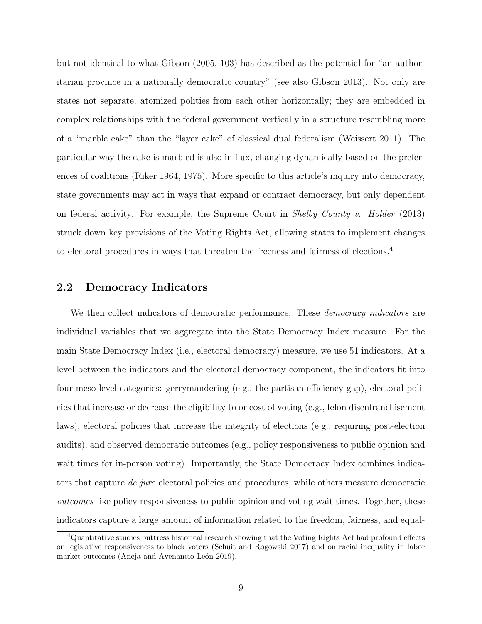but not identical to what Gibson (2005, 103) has described as the potential for "an authoritarian province in a nationally democratic country" (see also Gibson 2013). Not only are states not separate, atomized polities from each other horizontally; they are embedded in complex relationships with the federal government vertically in a structure resembling more of a "marble cake" than the "layer cake" of classical dual federalism (Weissert 2011). The particular way the cake is marbled is also in flux, changing dynamically based on the preferences of coalitions (Riker 1964, 1975). More specific to this article's inquiry into democracy, state governments may act in ways that expand or contract democracy, but only dependent on federal activity. For example, the Supreme Court in Shelby County v. Holder (2013) struck down key provisions of the Voting Rights Act, allowing states to implement changes to electoral procedures in ways that threaten the freeness and fairness of elections.<sup>4</sup>

#### 2.2 Democracy Indicators

We then collect indicators of democratic performance. These *democracy indicators* are individual variables that we aggregate into the State Democracy Index measure. For the main State Democracy Index (i.e., electoral democracy) measure, we use 51 indicators. At a level between the indicators and the electoral democracy component, the indicators fit into four meso-level categories: gerrymandering (e.g., the partisan efficiency gap), electoral policies that increase or decrease the eligibility to or cost of voting (e.g., felon disenfranchisement laws), electoral policies that increase the integrity of elections (e.g., requiring post-election audits), and observed democratic outcomes (e.g., policy responsiveness to public opinion and wait times for in-person voting). Importantly, the State Democracy Index combines indicators that capture de jure electoral policies and procedures, while others measure democratic outcomes like policy responsiveness to public opinion and voting wait times. Together, these indicators capture a large amount of information related to the freedom, fairness, and equal-

<sup>&</sup>lt;sup>4</sup>Quantitative studies buttress historical research showing that the Voting Rights Act had profound effects on legislative responsiveness to black voters (Schuit and Rogowski 2017) and on racial inequality in labor market outcomes (Aneja and Avenancio-León 2019).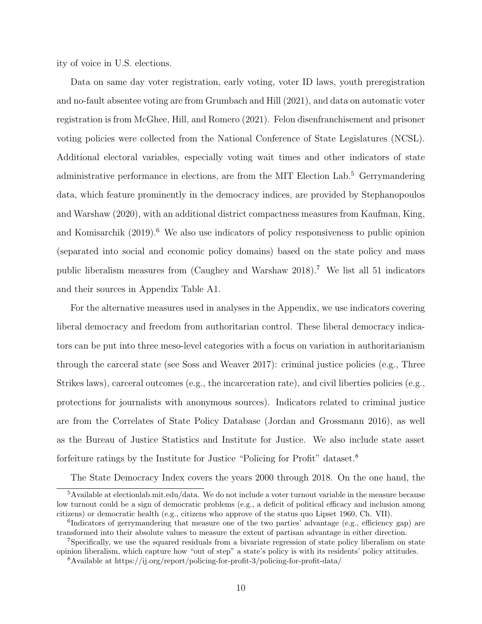ity of voice in U.S. elections.

Data on same day voter registration, early voting, voter ID laws, youth preregistration and no-fault absentee voting are from Grumbach and Hill (2021), and data on automatic voter registration is from McGhee, Hill, and Romero (2021). Felon disenfranchisement and prisoner voting policies were collected from the National Conference of State Legislatures (NCSL). Additional electoral variables, especially voting wait times and other indicators of state administrative performance in elections, are from the MIT Election Lab.<sup>5</sup> Gerrymandering data, which feature prominently in the democracy indices, are provided by Stephanopoulos and Warshaw (2020), with an additional district compactness measures from Kaufman, King, and Komisarchik  $(2019)$ <sup>6</sup>. We also use indicators of policy responsiveness to public opinion (separated into social and economic policy domains) based on the state policy and mass public liberalism measures from (Caughey and Warshaw 2018).<sup>7</sup> We list all 51 indicators and their sources in Appendix Table A1.

For the alternative measures used in analyses in the Appendix, we use indicators covering liberal democracy and freedom from authoritarian control. These liberal democracy indicators can be put into three meso-level categories with a focus on variation in authoritarianism through the carceral state (see Soss and Weaver 2017): criminal justice policies (e.g., Three Strikes laws), carceral outcomes (e.g., the incarceration rate), and civil liberties policies (e.g., protections for journalists with anonymous sources). Indicators related to criminal justice are from the Correlates of State Policy Database (Jordan and Grossmann 2016), as well as the Bureau of Justice Statistics and Institute for Justice. We also include state asset forfeiture ratings by the Institute for Justice "Policing for Profit" dataset.<sup>8</sup>

The State Democracy Index covers the years 2000 through 2018. On the one hand, the

<sup>5</sup>Available at electionlab.mit.edu/data. We do not include a voter turnout variable in the measure because low turnout could be a sign of democratic problems (e.g., a deficit of political efficacy and inclusion among citizens) or democratic health (e.g., citizens who approve of the status quo Lipset 1960, Ch. VII).

<sup>&</sup>lt;sup>6</sup>Indicators of gerrymandering that measure one of the two parties' advantage (e.g., efficiency gap) are transformed into their absolute values to measure the extent of partisan advantage in either direction.

<sup>7</sup>Specifically, we use the squared residuals from a bivariate regression of state policy liberalism on state opinion liberalism, which capture how "out of step" a state's policy is with its residents' policy attitudes.

<sup>8</sup>Available at https://ij.org/report/policing-for-profit-3/policing-for-profit-data/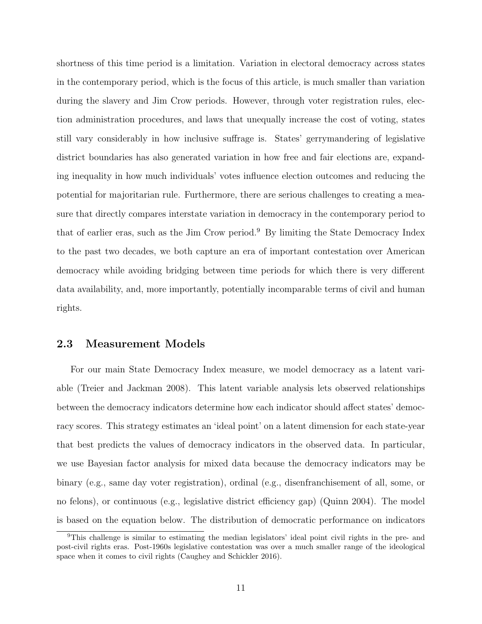shortness of this time period is a limitation. Variation in electoral democracy across states in the contemporary period, which is the focus of this article, is much smaller than variation during the slavery and Jim Crow periods. However, through voter registration rules, election administration procedures, and laws that unequally increase the cost of voting, states still vary considerably in how inclusive suffrage is. States' gerrymandering of legislative district boundaries has also generated variation in how free and fair elections are, expanding inequality in how much individuals' votes influence election outcomes and reducing the potential for majoritarian rule. Furthermore, there are serious challenges to creating a measure that directly compares interstate variation in democracy in the contemporary period to that of earlier eras, such as the Jim Crow period.<sup>9</sup> By limiting the State Democracy Index to the past two decades, we both capture an era of important contestation over American democracy while avoiding bridging between time periods for which there is very different data availability, and, more importantly, potentially incomparable terms of civil and human rights.

#### 2.3 Measurement Models

For our main State Democracy Index measure, we model democracy as a latent variable (Treier and Jackman 2008). This latent variable analysis lets observed relationships between the democracy indicators determine how each indicator should affect states' democracy scores. This strategy estimates an 'ideal point' on a latent dimension for each state-year that best predicts the values of democracy indicators in the observed data. In particular, we use Bayesian factor analysis for mixed data because the democracy indicators may be binary (e.g., same day voter registration), ordinal (e.g., disenfranchisement of all, some, or no felons), or continuous (e.g., legislative district efficiency gap) (Quinn 2004). The model is based on the equation below. The distribution of democratic performance on indicators

<sup>9</sup>This challenge is similar to estimating the median legislators' ideal point civil rights in the pre- and post-civil rights eras. Post-1960s legislative contestation was over a much smaller range of the ideological space when it comes to civil rights (Caughey and Schickler 2016).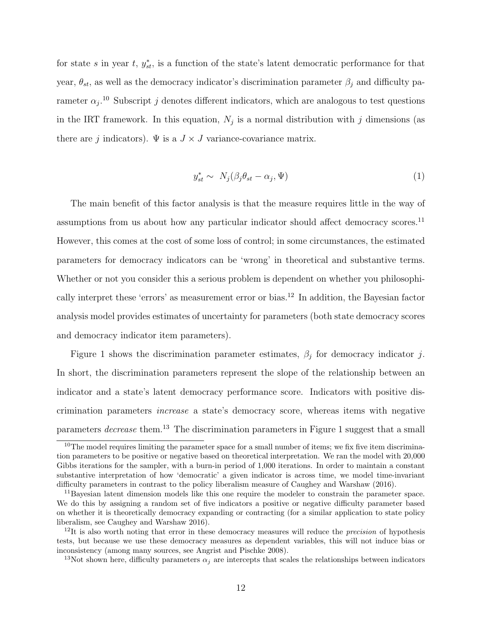for state s in year t,  $y_{st}^*$ , is a function of the state's latent democratic performance for that year,  $\theta_{st}$ , as well as the democracy indicator's discrimination parameter  $\beta_j$  and difficulty parameter  $\alpha_j$ <sup>10</sup> Subscript j denotes different indicators, which are analogous to test questions in the IRT framework. In this equation,  $N_j$  is a normal distribution with j dimensions (as there are j indicators).  $\Psi$  is a  $J \times J$  variance-covariance matrix.

$$
y_{st}^* \sim N_j(\beta_j \theta_{st} - \alpha_j, \Psi) \tag{1}
$$

The main benefit of this factor analysis is that the measure requires little in the way of assumptions from us about how any particular indicator should affect democracy scores.<sup>11</sup> However, this comes at the cost of some loss of control; in some circumstances, the estimated parameters for democracy indicators can be 'wrong' in theoretical and substantive terms. Whether or not you consider this a serious problem is dependent on whether you philosophically interpret these 'errors' as measurement error or bias.<sup>12</sup> In addition, the Bayesian factor analysis model provides estimates of uncertainty for parameters (both state democracy scores and democracy indicator item parameters).

Figure 1 shows the discrimination parameter estimates,  $\beta_j$  for democracy indicator j. In short, the discrimination parameters represent the slope of the relationship between an indicator and a state's latent democracy performance score. Indicators with positive discrimination parameters increase a state's democracy score, whereas items with negative parameters decrease them.<sup>13</sup> The discrimination parameters in Figure 1 suggest that a small

 $10$ The model requires limiting the parameter space for a small number of items; we fix five item discrimination parameters to be positive or negative based on theoretical interpretation. We ran the model with 20,000 Gibbs iterations for the sampler, with a burn-in period of 1,000 iterations. In order to maintain a constant substantive interpretation of how 'democratic' a given indicator is across time, we model time-invariant difficulty parameters in contrast to the policy liberalism measure of Caughey and Warshaw (2016).

<sup>11</sup>Bayesian latent dimension models like this one require the modeler to constrain the parameter space. We do this by assigning a random set of five indicators a positive or negative difficulty parameter based on whether it is theoretically democracy expanding or contracting (for a similar application to state policy liberalism, see Caughey and Warshaw 2016).

 $12$ It is also worth noting that error in these democracy measures will reduce the *precision* of hypothesis tests, but because we use these democracy measures as dependent variables, this will not induce bias or inconsistency (among many sources, see Angrist and Pischke 2008).

<sup>&</sup>lt;sup>13</sup>Not shown here, difficulty parameters  $\alpha_j$  are intercepts that scales the relationships between indicators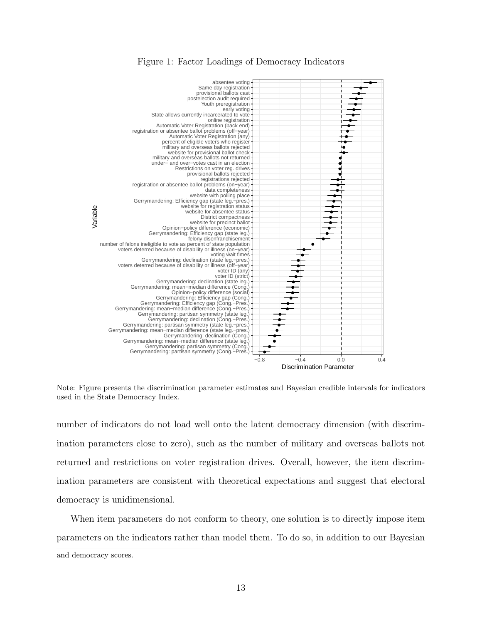

#### Figure 1: Factor Loadings of Democracy Indicators

Note: Figure presents the discrimination parameter estimates and Bayesian credible intervals for indicators used in the State Democracy Index.

number of indicators do not load well onto the latent democracy dimension (with discrimination parameters close to zero), such as the number of military and overseas ballots not returned and restrictions on voter registration drives. Overall, however, the item discrimination parameters are consistent with theoretical expectations and suggest that electoral democracy is unidimensional.

When item parameters do not conform to theory, one solution is to directly impose item parameters on the indicators rather than model them. To do so, in addition to our Bayesian and democracy scores.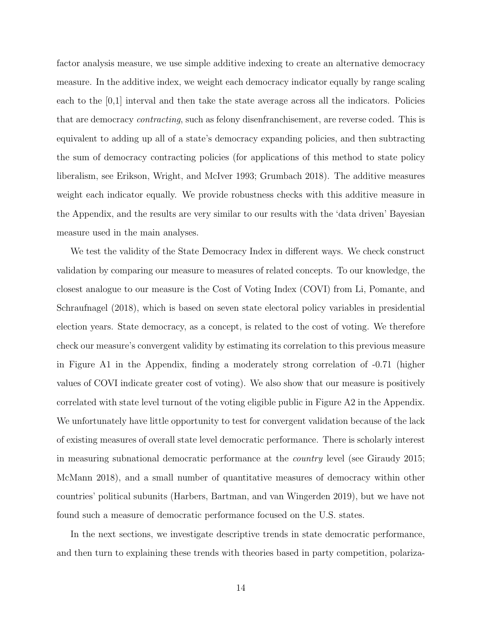factor analysis measure, we use simple additive indexing to create an alternative democracy measure. In the additive index, we weight each democracy indicator equally by range scaling each to the [0,1] interval and then take the state average across all the indicators. Policies that are democracy contracting, such as felony disenfranchisement, are reverse coded. This is equivalent to adding up all of a state's democracy expanding policies, and then subtracting the sum of democracy contracting policies (for applications of this method to state policy liberalism, see Erikson, Wright, and McIver 1993; Grumbach 2018). The additive measures weight each indicator equally. We provide robustness checks with this additive measure in the Appendix, and the results are very similar to our results with the 'data driven' Bayesian measure used in the main analyses.

We test the validity of the State Democracy Index in different ways. We check construct validation by comparing our measure to measures of related concepts. To our knowledge, the closest analogue to our measure is the Cost of Voting Index (COVI) from Li, Pomante, and Schraufnagel (2018), which is based on seven state electoral policy variables in presidential election years. State democracy, as a concept, is related to the cost of voting. We therefore check our measure's convergent validity by estimating its correlation to this previous measure in Figure A1 in the Appendix, finding a moderately strong correlation of -0.71 (higher values of COVI indicate greater cost of voting). We also show that our measure is positively correlated with state level turnout of the voting eligible public in Figure A2 in the Appendix. We unfortunately have little opportunity to test for convergent validation because of the lack of existing measures of overall state level democratic performance. There is scholarly interest in measuring subnational democratic performance at the country level (see Giraudy 2015; McMann 2018), and a small number of quantitative measures of democracy within other countries' political subunits (Harbers, Bartman, and van Wingerden 2019), but we have not found such a measure of democratic performance focused on the U.S. states.

In the next sections, we investigate descriptive trends in state democratic performance, and then turn to explaining these trends with theories based in party competition, polariza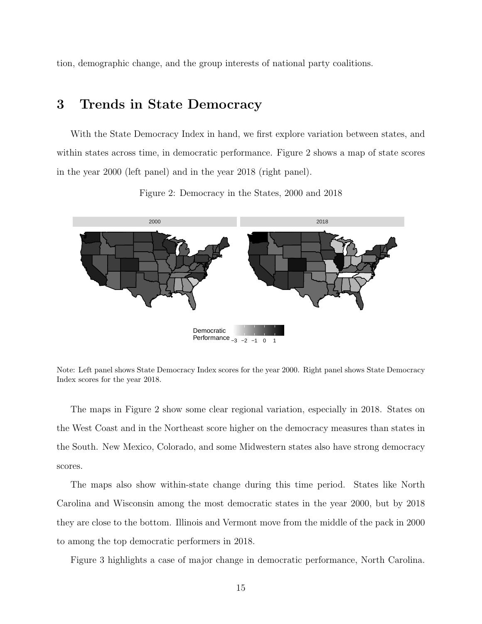tion, demographic change, and the group interests of national party coalitions.

### 3 Trends in State Democracy

With the State Democracy Index in hand, we first explore variation between states, and within states across time, in democratic performance. Figure 2 shows a map of state scores in the year 2000 (left panel) and in the year 2018 (right panel).



Figure 2: Democracy in the States, 2000 and 2018

Note: Left panel shows State Democracy Index scores for the year 2000. Right panel shows State Democracy Index scores for the year 2018.

The maps in Figure 2 show some clear regional variation, especially in 2018. States on the West Coast and in the Northeast score higher on the democracy measures than states in the South. New Mexico, Colorado, and some Midwestern states also have strong democracy scores.

The maps also show within-state change during this time period. States like North Carolina and Wisconsin among the most democratic states in the year 2000, but by 2018 they are close to the bottom. Illinois and Vermont move from the middle of the pack in 2000 to among the top democratic performers in 2018.

Figure 3 highlights a case of major change in democratic performance, North Carolina.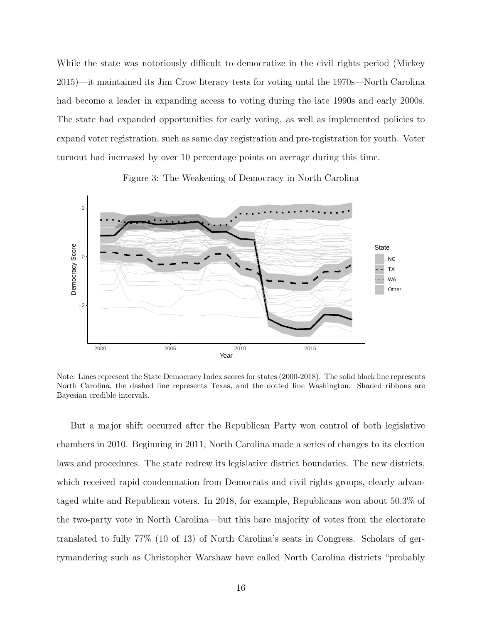While the state was notoriously difficult to democratize in the civil rights period (Mickey 2015)—it maintained its Jim Crow literacy tests for voting until the 1970s—North Carolina had become a leader in expanding access to voting during the late 1990s and early 2000s. The state had expanded opportunities for early voting, as well as implemented policies to expand voter registration, such as same day registration and pre-registration for youth. Voter turnout had increased by over 10 percentage points on average during this time.





Note: Lines represent the State Democracy Index scores for states (2000-2018). The solid black line represents North Carolina, the dashed line represents Texas, and the dotted line Washington. Shaded ribbons are Bayesian credible intervals.

But a major shift occurred after the Republican Party won control of both legislative chambers in 2010. Beginning in 2011, North Carolina made a series of changes to its election laws and procedures. The state redrew its legislative district boundaries. The new districts, which received rapid condemnation from Democrats and civil rights groups, clearly advantaged white and Republican voters. In 2018, for example, Republicans won about 50.3% of the two-party vote in North Carolina—but this bare majority of votes from the electorate translated to fully 77% (10 of 13) of North Carolina's seats in Congress. Scholars of gerrymandering such as Christopher Warshaw have called North Carolina districts "probably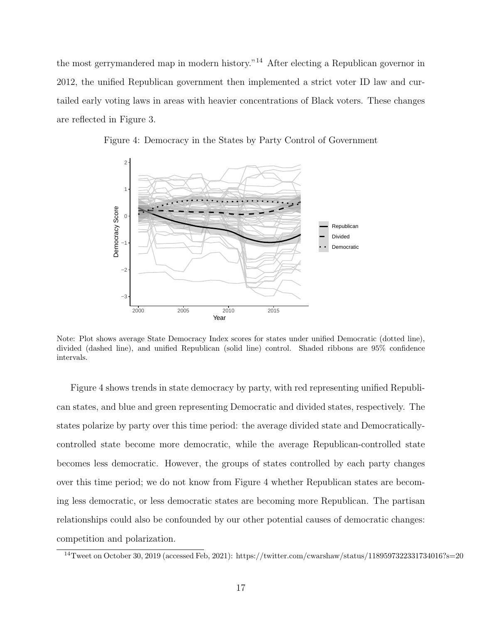the most gerrymandered map in modern history."<sup>14</sup> After electing a Republican governor in 2012, the unified Republican government then implemented a strict voter ID law and curtailed early voting laws in areas with heavier concentrations of Black voters. These changes are reflected in Figure 3.

Figure 4: Democracy in the States by Party Control of Government



Note: Plot shows average State Democracy Index scores for states under unified Democratic (dotted line), divided (dashed line), and unified Republican (solid line) control. Shaded ribbons are 95% confidence intervals.

Figure 4 shows trends in state democracy by party, with red representing unified Republican states, and blue and green representing Democratic and divided states, respectively. The states polarize by party over this time period: the average divided state and Democraticallycontrolled state become more democratic, while the average Republican-controlled state becomes less democratic. However, the groups of states controlled by each party changes over this time period; we do not know from Figure 4 whether Republican states are becoming less democratic, or less democratic states are becoming more Republican. The partisan relationships could also be confounded by our other potential causes of democratic changes: competition and polarization.

<sup>&</sup>lt;sup>14</sup>Tweet on October 30, 2019 (accessed Feb, 2021): https://twitter.com/cwarshaw/status/1189597322331734016?s=20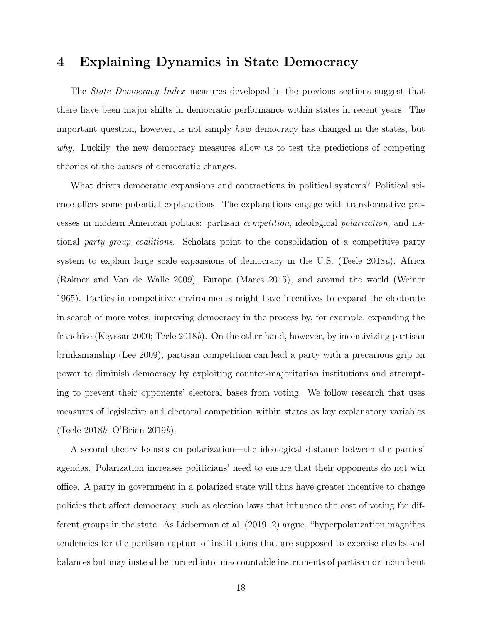### 4 Explaining Dynamics in State Democracy

The *State Democracy Index* measures developed in the previous sections suggest that there have been major shifts in democratic performance within states in recent years. The important question, however, is not simply how democracy has changed in the states, but why. Luckily, the new democracy measures allow us to test the predictions of competing theories of the causes of democratic changes.

What drives democratic expansions and contractions in political systems? Political science offers some potential explanations. The explanations engage with transformative processes in modern American politics: partisan competition, ideological polarization, and national party group coalitions. Scholars point to the consolidation of a competitive party system to explain large scale expansions of democracy in the U.S. (Teele 2018a), Africa (Rakner and Van de Walle 2009), Europe (Mares 2015), and around the world (Weiner 1965). Parties in competitive environments might have incentives to expand the electorate in search of more votes, improving democracy in the process by, for example, expanding the franchise (Keyssar 2000; Teele 2018b). On the other hand, however, by incentivizing partisan brinksmanship (Lee 2009), partisan competition can lead a party with a precarious grip on power to diminish democracy by exploiting counter-majoritarian institutions and attempting to prevent their opponents' electoral bases from voting. We follow research that uses measures of legislative and electoral competition within states as key explanatory variables (Teele 2018b; O'Brian 2019b).

A second theory focuses on polarization—the ideological distance between the parties' agendas. Polarization increases politicians' need to ensure that their opponents do not win office. A party in government in a polarized state will thus have greater incentive to change policies that affect democracy, such as election laws that influence the cost of voting for different groups in the state. As Lieberman et al. (2019, 2) argue, "hyperpolarization magnifies tendencies for the partisan capture of institutions that are supposed to exercise checks and balances but may instead be turned into unaccountable instruments of partisan or incumbent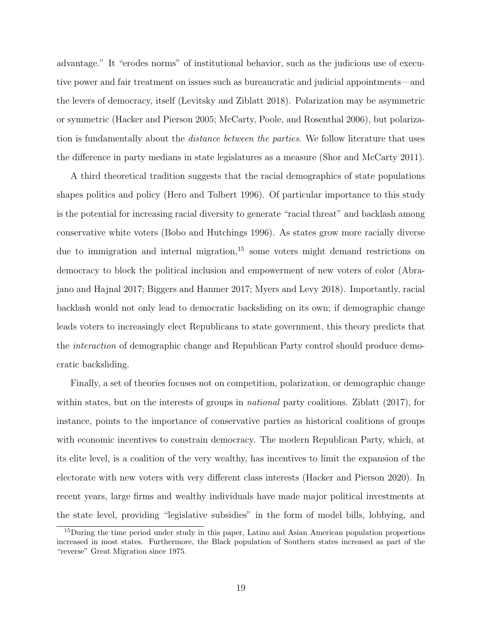advantage." It "erodes norms" of institutional behavior, such as the judicious use of executive power and fair treatment on issues such as bureaucratic and judicial appointments—and the levers of democracy, itself (Levitsky and Ziblatt 2018). Polarization may be asymmetric or symmetric (Hacker and Pierson 2005; McCarty, Poole, and Rosenthal 2006), but polarization is fundamentally about the *distance between the parties*. We follow literature that uses the difference in party medians in state legislatures as a measure (Shor and McCarty 2011).

A third theoretical tradition suggests that the racial demographics of state populations shapes politics and policy (Hero and Tolbert 1996). Of particular importance to this study is the potential for increasing racial diversity to generate "racial threat" and backlash among conservative white voters (Bobo and Hutchings 1996). As states grow more racially diverse due to immigration and internal migration, $15$  some voters might demand restrictions on democracy to block the political inclusion and empowerment of new voters of color (Abrajano and Hajnal 2017; Biggers and Hanmer 2017; Myers and Levy 2018). Importantly, racial backlash would not only lead to democratic backsliding on its own; if demographic change leads voters to increasingly elect Republicans to state government, this theory predicts that the interaction of demographic change and Republican Party control should produce democratic backsliding.

Finally, a set of theories focuses not on competition, polarization, or demographic change within states, but on the interests of groups in *national* party coalitions. Ziblatt (2017), for instance, points to the importance of conservative parties as historical coalitions of groups with economic incentives to constrain democracy. The modern Republican Party, which, at its elite level, is a coalition of the very wealthy, has incentives to limit the expansion of the electorate with new voters with very different class interests (Hacker and Pierson 2020). In recent years, large firms and wealthy individuals have made major political investments at the state level, providing "legislative subsidies" in the form of model bills, lobbying, and

<sup>&</sup>lt;sup>15</sup>During the time period under study in this paper, Latino and Asian American population proportions increased in most states. Furthermore, the Black population of Southern states increased as part of the "reverse" Great Migration since 1975.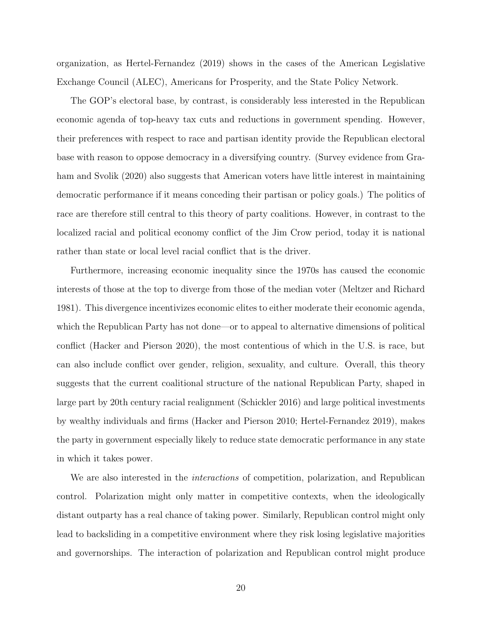organization, as Hertel-Fernandez (2019) shows in the cases of the American Legislative Exchange Council (ALEC), Americans for Prosperity, and the State Policy Network.

The GOP's electoral base, by contrast, is considerably less interested in the Republican economic agenda of top-heavy tax cuts and reductions in government spending. However, their preferences with respect to race and partisan identity provide the Republican electoral base with reason to oppose democracy in a diversifying country. (Survey evidence from Graham and Svolik (2020) also suggests that American voters have little interest in maintaining democratic performance if it means conceding their partisan or policy goals.) The politics of race are therefore still central to this theory of party coalitions. However, in contrast to the localized racial and political economy conflict of the Jim Crow period, today it is national rather than state or local level racial conflict that is the driver.

Furthermore, increasing economic inequality since the 1970s has caused the economic interests of those at the top to diverge from those of the median voter (Meltzer and Richard 1981). This divergence incentivizes economic elites to either moderate their economic agenda, which the Republican Party has not done—or to appeal to alternative dimensions of political conflict (Hacker and Pierson 2020), the most contentious of which in the U.S. is race, but can also include conflict over gender, religion, sexuality, and culture. Overall, this theory suggests that the current coalitional structure of the national Republican Party, shaped in large part by 20th century racial realignment (Schickler 2016) and large political investments by wealthy individuals and firms (Hacker and Pierson 2010; Hertel-Fernandez 2019), makes the party in government especially likely to reduce state democratic performance in any state in which it takes power.

We are also interested in the *interactions* of competition, polarization, and Republican control. Polarization might only matter in competitive contexts, when the ideologically distant outparty has a real chance of taking power. Similarly, Republican control might only lead to backsliding in a competitive environment where they risk losing legislative majorities and governorships. The interaction of polarization and Republican control might produce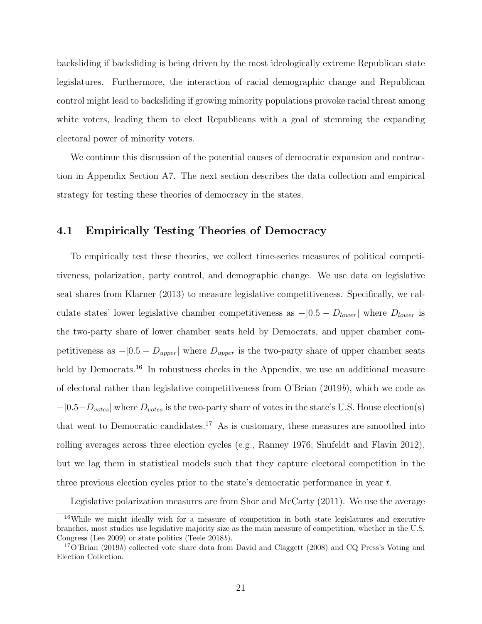backsliding if backsliding is being driven by the most ideologically extreme Republican state legislatures. Furthermore, the interaction of racial demographic change and Republican control might lead to backsliding if growing minority populations provoke racial threat among white voters, leading them to elect Republicans with a goal of stemming the expanding electoral power of minority voters.

We continue this discussion of the potential causes of democratic expansion and contraction in Appendix Section A7. The next section describes the data collection and empirical strategy for testing these theories of democracy in the states.

#### 4.1 Empirically Testing Theories of Democracy

To empirically test these theories, we collect time-series measures of political competitiveness, polarization, party control, and demographic change. We use data on legislative seat shares from Klarner (2013) to measure legislative competitiveness. Specifically, we calculate states' lower legislative chamber competitiveness as  $-|0.5 - D_{lower}|$  where  $D_{lower}$  is the two-party share of lower chamber seats held by Democrats, and upper chamber competitiveness as  $-|0.5 - D_{upper}|$  where  $D_{upper}$  is the two-party share of upper chamber seats held by Democrats.<sup>16</sup> In robustness checks in the Appendix, we use an additional measure of electoral rather than legislative competitiveness from O'Brian (2019b), which we code as  $-|0.5-D_{votes}|$  where  $D_{votes}$  is the two-party share of votes in the state's U.S. House election(s) that went to Democratic candidates.<sup>17</sup> As is customary, these measures are smoothed into rolling averages across three election cycles (e.g., Ranney 1976; Shufeldt and Flavin 2012), but we lag them in statistical models such that they capture electoral competition in the three previous election cycles prior to the state's democratic performance in year t.

Legislative polarization measures are from Shor and McCarty (2011). We use the average

<sup>16</sup>While we might ideally wish for a measure of competition in both state legislatures and executive branches, most studies use legislative majority size as the main measure of competition, whether in the U.S. Congress (Lee 2009) or state politics (Teele 2018b).

 $17$ O'Brian (2019b) collected vote share data from David and Claggett (2008) and CQ Press's Voting and Election Collection.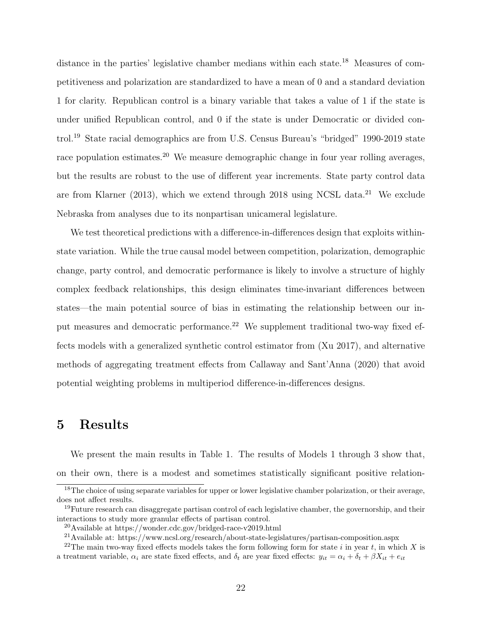distance in the parties' legislative chamber medians within each state.<sup>18</sup> Measures of competitiveness and polarization are standardized to have a mean of 0 and a standard deviation 1 for clarity. Republican control is a binary variable that takes a value of 1 if the state is under unified Republican control, and 0 if the state is under Democratic or divided control.<sup>19</sup> State racial demographics are from U.S. Census Bureau's "bridged" 1990-2019 state race population estimates.<sup>20</sup> We measure demographic change in four year rolling averages, but the results are robust to the use of different year increments. State party control data are from Klarner (2013), which we extend through 2018 using NCSL data.<sup>21</sup> We exclude Nebraska from analyses due to its nonpartisan unicameral legislature.

We test theoretical predictions with a difference-in-differences design that exploits withinstate variation. While the true causal model between competition, polarization, demographic change, party control, and democratic performance is likely to involve a structure of highly complex feedback relationships, this design eliminates time-invariant differences between states—the main potential source of bias in estimating the relationship between our input measures and democratic performance.<sup>22</sup> We supplement traditional two-way fixed effects models with a generalized synthetic control estimator from (Xu 2017), and alternative methods of aggregating treatment effects from Callaway and Sant'Anna (2020) that avoid potential weighting problems in multiperiod difference-in-differences designs.

### 5 Results

We present the main results in Table 1. The results of Models 1 through 3 show that, on their own, there is a modest and sometimes statistically significant positive relation-

<sup>&</sup>lt;sup>18</sup>The choice of using separate variables for upper or lower legislative chamber polarization, or their average, does not affect results.

 $19$ Future research can disaggregate partisan control of each legislative chamber, the governorship, and their interactions to study more granular effects of partisan control.

<sup>20</sup>Available at https://wonder.cdc.gov/bridged-race-v2019.html

<sup>&</sup>lt;sup>21</sup>Available at: https://www.ncsl.org/research/about-state-legislatures/partisan-composition.aspx

<sup>&</sup>lt;sup>22</sup>The main two-way fixed effects models takes the form following form for state i in year t, in which X is a treatment variable,  $\alpha_i$  are state fixed effects, and  $\delta_t$  are year fixed effects:  $y_{it} = \alpha_i + \delta_t + \beta X_{it} + e_{it}$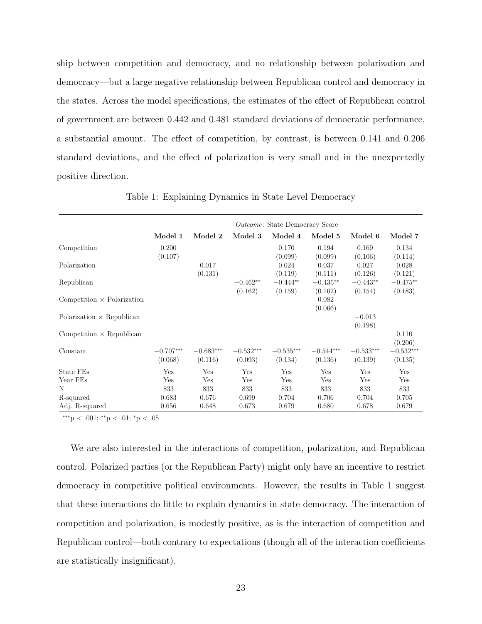ship between competition and democracy, and no relationship between polarization and democracy—but a large negative relationship between Republican control and democracy in the states. Across the model specifications, the estimates of the effect of Republican control of government are between 0.442 and 0.481 standard deviations of democratic performance, a substantial amount. The effect of competition, by contrast, is between 0.141 and 0.206 standard deviations, and the effect of polarization is very small and in the unexpectedly positive direction.

|                                   |             |             |             | <i>Outcome:</i> State Democracy Score |             |                  |             |
|-----------------------------------|-------------|-------------|-------------|---------------------------------------|-------------|------------------|-------------|
|                                   | Model 1     | Model 2     | Model 3     | Model 4                               | Model 5     | Model 6          | Model 7     |
| Competition                       | 0.200       |             |             | 0.170                                 | 0.194       | 0.169            | 0.134       |
|                                   | (0.107)     |             |             | (0.099)                               | (0.099)     | (0.106)          | (0.114)     |
| Polarization                      |             | 0.017       |             | 0.024                                 | 0.037       | 0.027            | 0.028       |
|                                   |             | (0.131)     |             | (0.119)                               | (0.111)     | (0.126)          | (0.121)     |
| Republican                        |             |             | $-0.462**$  | $-0.444**$                            | $-0.435**$  | $-0.443**$       | $-0.475**$  |
|                                   |             |             | (0.162)     | (0.159)                               | (0.162)     | (0.154)          | (0.183)     |
| Competition $\times$ Polarization |             |             |             |                                       | 0.082       |                  |             |
|                                   |             |             |             |                                       | (0.066)     |                  |             |
| Polarization $\times$ Republican  |             |             |             |                                       |             | $-0.013$         |             |
|                                   |             |             |             |                                       |             | (0.198)          |             |
| Competition $\times$ Republican   |             |             |             |                                       |             |                  | 0.110       |
|                                   |             |             |             |                                       |             |                  | (0.206)     |
| Constant                          | $-0.707***$ | $-0.683***$ | $-0.532***$ | $-0.535^{\ast\ast\ast}$               | $-0.544***$ | $-0.533^{***}\,$ | $-0.532***$ |
|                                   | (0.068)     | (0.116)     | (0.093)     | (0.134)                               | (0.136)     | (0.139)          | (0.135)     |
| State FEs                         | Yes         | Yes         | Yes         | Yes                                   | Yes         | Yes              | Yes         |
| Year FEs                          | Yes         | Yes         | Yes         | Yes                                   | Yes         | Yes              | Yes         |
| N                                 | 833         | 833         | 833         | 833                                   | 833         | 833              | 833         |
| R-squared                         | 0.683       | 0.676       | 0.699       | 0.704                                 | 0.706       | 0.704            | 0.705       |
| Adj. R-squared                    | 0.656       | 0.648       | 0.673       | 0.679                                 | 0.680       | 0.678            | 0.679       |

Table 1: Explaining Dynamics in State Level Democracy

∗∗∗p < .001; ∗∗p < .01; <sup>∗</sup>p < .05

We are also interested in the interactions of competition, polarization, and Republican control. Polarized parties (or the Republican Party) might only have an incentive to restrict democracy in competitive political environments. However, the results in Table 1 suggest that these interactions do little to explain dynamics in state democracy. The interaction of competition and polarization, is modestly positive, as is the interaction of competition and Republican control—both contrary to expectations (though all of the interaction coefficients are statistically insignificant).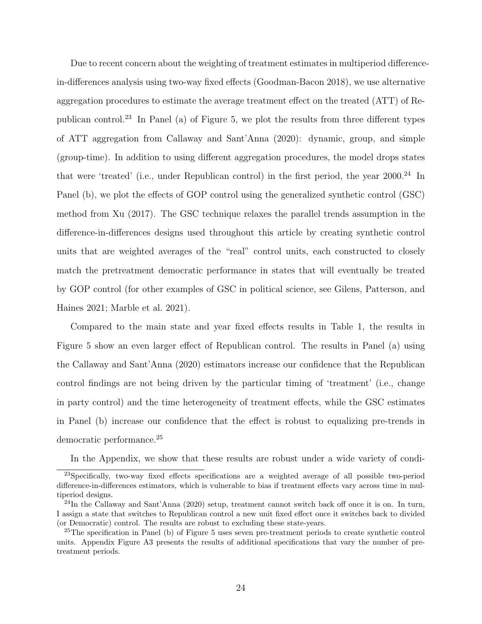Due to recent concern about the weighting of treatment estimates in multiperiod differencein-differences analysis using two-way fixed effects (Goodman-Bacon 2018), we use alternative aggregation procedures to estimate the average treatment effect on the treated (ATT) of Republican control.<sup>23</sup> In Panel (a) of Figure 5, we plot the results from three different types of ATT aggregation from Callaway and Sant'Anna (2020): dynamic, group, and simple (group-time). In addition to using different aggregation procedures, the model drops states that were 'treated' (i.e., under Republican control) in the first period, the year 2000.<sup>24</sup> In Panel (b), we plot the effects of GOP control using the generalized synthetic control (GSC) method from Xu (2017). The GSC technique relaxes the parallel trends assumption in the difference-in-differences designs used throughout this article by creating synthetic control units that are weighted averages of the "real" control units, each constructed to closely match the pretreatment democratic performance in states that will eventually be treated by GOP control (for other examples of GSC in political science, see Gilens, Patterson, and Haines 2021; Marble et al. 2021).

Compared to the main state and year fixed effects results in Table 1, the results in Figure 5 show an even larger effect of Republican control. The results in Panel (a) using the Callaway and Sant'Anna (2020) estimators increase our confidence that the Republican control findings are not being driven by the particular timing of 'treatment' (i.e., change in party control) and the time heterogeneity of treatment effects, while the GSC estimates in Panel (b) increase our confidence that the effect is robust to equalizing pre-trends in democratic performance.<sup>25</sup>

In the Appendix, we show that these results are robust under a wide variety of condi-

<sup>23</sup>Specifically, two-way fixed effects specifications are a weighted average of all possible two-period difference-in-differences estimators, which is vulnerable to bias if treatment effects vary across time in multiperiod designs.

 $^{24}$ In the Callaway and Sant'Anna (2020) setup, treatment cannot switch back off once it is on. In turn, I assign a state that switches to Republican control a new unit fixed effect once it switches back to divided (or Democratic) control. The results are robust to excluding these state-years.

<sup>25</sup>The specification in Panel (b) of Figure 5 uses seven pre-treatment periods to create synthetic control units. Appendix Figure A3 presents the results of additional specifications that vary the number of pretreatment periods.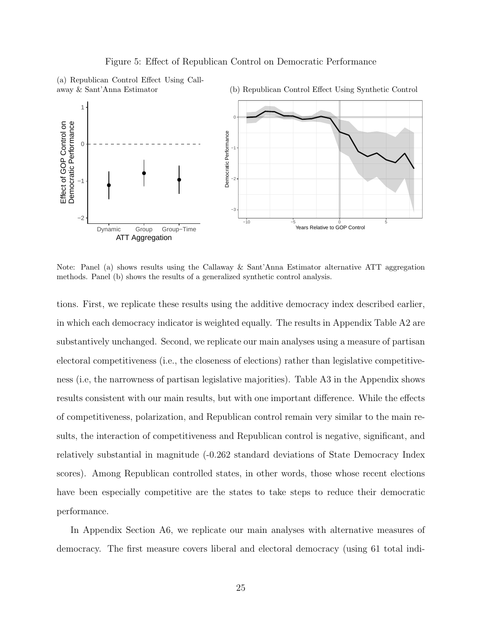

(a) Republican Control Effect Using Callaway & Sant'Anna Estimator





Note: Panel (a) shows results using the Callaway & Sant'Anna Estimator alternative ATT aggregation methods. Panel (b) shows the results of a generalized synthetic control analysis.

tions. First, we replicate these results using the additive democracy index described earlier, in which each democracy indicator is weighted equally. The results in Appendix Table A2 are substantively unchanged. Second, we replicate our main analyses using a measure of partisan electoral competitiveness (i.e., the closeness of elections) rather than legislative competitiveness (i.e, the narrowness of partisan legislative majorities). Table A3 in the Appendix shows results consistent with our main results, but with one important difference. While the effects of competitiveness, polarization, and Republican control remain very similar to the main results, the interaction of competitiveness and Republican control is negative, significant, and relatively substantial in magnitude (-0.262 standard deviations of State Democracy Index scores). Among Republican controlled states, in other words, those whose recent elections have been especially competitive are the states to take steps to reduce their democratic performance.

In Appendix Section A6, we replicate our main analyses with alternative measures of democracy. The first measure covers liberal and electoral democracy (using 61 total indi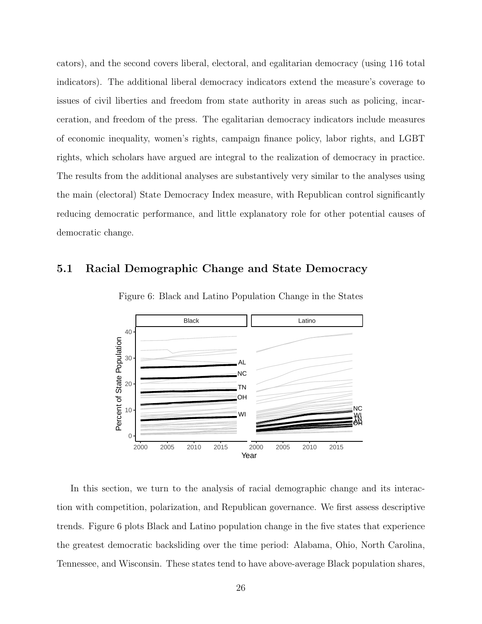cators), and the second covers liberal, electoral, and egalitarian democracy (using 116 total indicators). The additional liberal democracy indicators extend the measure's coverage to issues of civil liberties and freedom from state authority in areas such as policing, incarceration, and freedom of the press. The egalitarian democracy indicators include measures of economic inequality, women's rights, campaign finance policy, labor rights, and LGBT rights, which scholars have argued are integral to the realization of democracy in practice. The results from the additional analyses are substantively very similar to the analyses using the main (electoral) State Democracy Index measure, with Republican control significantly reducing democratic performance, and little explanatory role for other potential causes of democratic change.

### 5.1 Racial Demographic Change and State Democracy



Figure 6: Black and Latino Population Change in the States

In this section, we turn to the analysis of racial demographic change and its interaction with competition, polarization, and Republican governance. We first assess descriptive trends. Figure 6 plots Black and Latino population change in the five states that experience the greatest democratic backsliding over the time period: Alabama, Ohio, North Carolina, Tennessee, and Wisconsin. These states tend to have above-average Black population shares,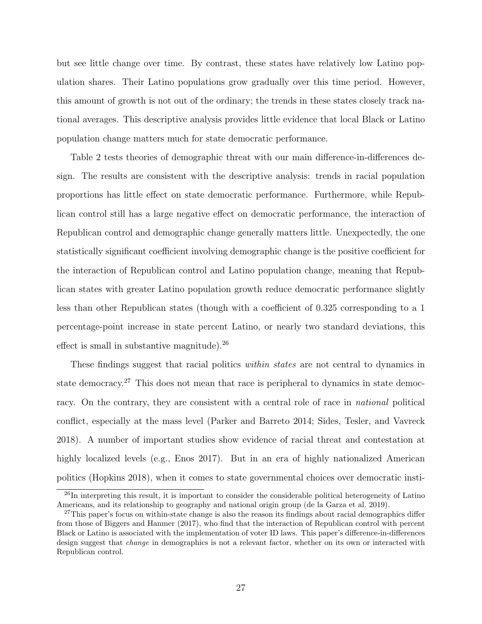but see little change over time. By contrast, these states have relatively low Latino population shares. Their Latino populations grow gradually over this time period. However, this amount of growth is not out of the ordinary; the trends in these states closely track national averages. This descriptive analysis provides little evidence that local Black or Latino population change matters much for state democratic performance.

Table 2 tests theories of demographic threat with our main difference-in-differences design. The results are consistent with the descriptive analysis: trends in racial population proportions has little effect on state democratic performance. Furthermore, while Republican control still has a large negative effect on democratic performance, the interaction of Republican control and demographic change generally matters little. Unexpectedly, the one statistically significant coefficient involving demographic change is the positive coefficient for the interaction of Republican control and Latino population change, meaning that Republican states with greater Latino population growth reduce democratic performance slightly less than other Republican states (though with a coefficient of 0.325 corresponding to a 1 percentage-point increase in state percent Latino, or nearly two standard deviations, this effect is small in substantive magnitude).<sup>26</sup>

These findings suggest that racial politics within states are not central to dynamics in state democracy.<sup>27</sup> This does not mean that race is peripheral to dynamics in state democracy. On the contrary, they are consistent with a central role of race in national political conflict, especially at the mass level (Parker and Barreto 2014; Sides, Tesler, and Vavreck 2018). A number of important studies show evidence of racial threat and contestation at highly localized levels (e.g., Enos 2017). But in an era of highly nationalized American politics (Hopkins 2018), when it comes to state governmental choices over democratic insti-

<sup>&</sup>lt;sup>26</sup>In interpreting this result, it is important to consider the considerable political heterogeneity of Latino Americans, and its relationship to geography and national origin group (de la Garza et al. 2019).

<sup>&</sup>lt;sup>27</sup>This paper's focus on within-state change is also the reason its findings about racial demographics differ from those of Biggers and Hanmer (2017), who find that the interaction of Republican control with percent Black or Latino is associated with the implementation of voter ID laws. This paper's difference-in-differences design suggest that *change* in demographics is not a relevant factor, whether on its own or interacted with Republican control.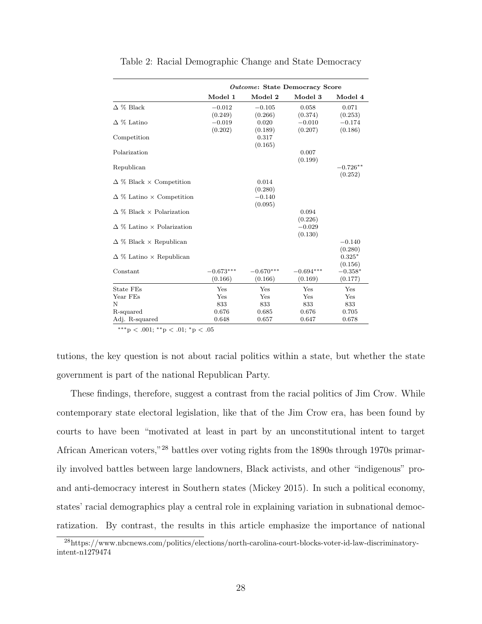|                                         | Outcome: State Democracy Score |             |             |            |  |  |  |
|-----------------------------------------|--------------------------------|-------------|-------------|------------|--|--|--|
|                                         | Model 1                        | Model 2     | Model 3     | Model 4    |  |  |  |
| $\Delta \%$ Black                       | $-0.012$                       | $-0.105$    | 0.058       | 0.071      |  |  |  |
|                                         | (0.249)                        | (0.266)     | (0.374)     | (0.253)    |  |  |  |
| $\Delta$ % Latino                       | $-0.019$                       | 0.020       | $-0.010$    | $-0.174$   |  |  |  |
|                                         | (0.202)                        | (0.189)     | (0.207)     | (0.186)    |  |  |  |
| Competition                             |                                | 0.317       |             |            |  |  |  |
|                                         |                                | (0.165)     |             |            |  |  |  |
| Polarization                            |                                |             | 0.007       |            |  |  |  |
|                                         |                                |             | (0.199)     |            |  |  |  |
| Republican                              |                                |             |             | $-0.726**$ |  |  |  |
|                                         |                                |             |             | (0.252)    |  |  |  |
| $\Delta \%$ Black $\times$ Competition  |                                | 0.014       |             |            |  |  |  |
|                                         |                                | (0.280)     |             |            |  |  |  |
| $\Delta$ % Latino $\times$ Competition  |                                | $-0.140$    |             |            |  |  |  |
|                                         |                                | (0.095)     |             |            |  |  |  |
| $\Delta$ % Black $\times$ Polarization  |                                |             | 0.094       |            |  |  |  |
|                                         |                                |             | (0.226)     |            |  |  |  |
| $\Delta$ % Latino $\times$ Polarization |                                |             | $-0.029$    |            |  |  |  |
|                                         |                                |             | (0.130)     |            |  |  |  |
| $\Delta$ % Black $\times$ Republican    |                                |             |             | $-0.140$   |  |  |  |
|                                         |                                |             |             | (0.280)    |  |  |  |
| $\Delta$ % Latino $\times$ Republican   |                                |             |             | $0.325*$   |  |  |  |
|                                         |                                |             |             | (0.156)    |  |  |  |
| Constant                                | $-0.673***$                    | $-0.670***$ | $-0.694***$ | $-0.358*$  |  |  |  |
|                                         | (0.166)                        | (0.166)     | (0.169)     | (0.177)    |  |  |  |
| State FEs                               | Yes                            | Yes         | Yes         | Yes        |  |  |  |
| Year FEs                                | Yes                            | Yes         | Yes         | Yes        |  |  |  |
| N                                       | 833                            | 833         | 833         | 833        |  |  |  |
| R-squared                               | 0.676                          | 0.685       | 0.676       | 0.705      |  |  |  |
| Adj. R-squared                          | 0.648                          | 0.657       | 0.647       | 0.678      |  |  |  |

Table 2: Racial Demographic Change and State Democracy

∗∗∗p < .001; ∗∗p < .01; <sup>∗</sup>p < .05

tutions, the key question is not about racial politics within a state, but whether the state government is part of the national Republican Party.

These findings, therefore, suggest a contrast from the racial politics of Jim Crow. While contemporary state electoral legislation, like that of the Jim Crow era, has been found by courts to have been "motivated at least in part by an unconstitutional intent to target African American voters,"<sup>28</sup> battles over voting rights from the 1890s through 1970s primarily involved battles between large landowners, Black activists, and other "indigenous" proand anti-democracy interest in Southern states (Mickey 2015). In such a political economy, states' racial demographics play a central role in explaining variation in subnational democratization. By contrast, the results in this article emphasize the importance of national

<sup>28</sup>https://www.nbcnews.com/politics/elections/north-carolina-court-blocks-voter-id-law-discriminatoryintent-n1279474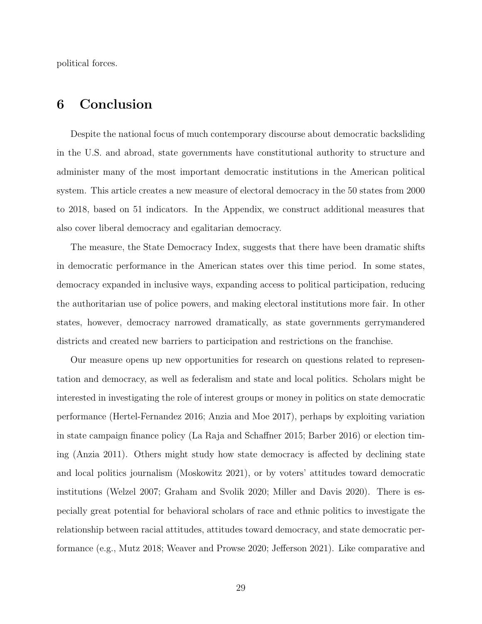political forces.

### 6 Conclusion

Despite the national focus of much contemporary discourse about democratic backsliding in the U.S. and abroad, state governments have constitutional authority to structure and administer many of the most important democratic institutions in the American political system. This article creates a new measure of electoral democracy in the 50 states from 2000 to 2018, based on 51 indicators. In the Appendix, we construct additional measures that also cover liberal democracy and egalitarian democracy.

The measure, the State Democracy Index, suggests that there have been dramatic shifts in democratic performance in the American states over this time period. In some states, democracy expanded in inclusive ways, expanding access to political participation, reducing the authoritarian use of police powers, and making electoral institutions more fair. In other states, however, democracy narrowed dramatically, as state governments gerrymandered districts and created new barriers to participation and restrictions on the franchise.

Our measure opens up new opportunities for research on questions related to representation and democracy, as well as federalism and state and local politics. Scholars might be interested in investigating the role of interest groups or money in politics on state democratic performance (Hertel-Fernandez 2016; Anzia and Moe 2017), perhaps by exploiting variation in state campaign finance policy (La Raja and Schaffner 2015; Barber 2016) or election timing (Anzia 2011). Others might study how state democracy is affected by declining state and local politics journalism (Moskowitz 2021), or by voters' attitudes toward democratic institutions (Welzel 2007; Graham and Svolik 2020; Miller and Davis 2020). There is especially great potential for behavioral scholars of race and ethnic politics to investigate the relationship between racial attitudes, attitudes toward democracy, and state democratic performance (e.g., Mutz 2018; Weaver and Prowse 2020; Jefferson 2021). Like comparative and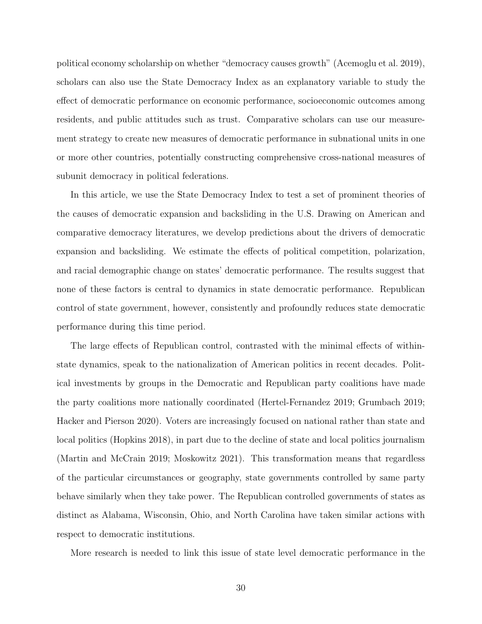political economy scholarship on whether "democracy causes growth" (Acemoglu et al. 2019), scholars can also use the State Democracy Index as an explanatory variable to study the effect of democratic performance on economic performance, socioeconomic outcomes among residents, and public attitudes such as trust. Comparative scholars can use our measurement strategy to create new measures of democratic performance in subnational units in one or more other countries, potentially constructing comprehensive cross-national measures of subunit democracy in political federations.

In this article, we use the State Democracy Index to test a set of prominent theories of the causes of democratic expansion and backsliding in the U.S. Drawing on American and comparative democracy literatures, we develop predictions about the drivers of democratic expansion and backsliding. We estimate the effects of political competition, polarization, and racial demographic change on states' democratic performance. The results suggest that none of these factors is central to dynamics in state democratic performance. Republican control of state government, however, consistently and profoundly reduces state democratic performance during this time period.

The large effects of Republican control, contrasted with the minimal effects of withinstate dynamics, speak to the nationalization of American politics in recent decades. Political investments by groups in the Democratic and Republican party coalitions have made the party coalitions more nationally coordinated (Hertel-Fernandez 2019; Grumbach 2019; Hacker and Pierson 2020). Voters are increasingly focused on national rather than state and local politics (Hopkins 2018), in part due to the decline of state and local politics journalism (Martin and McCrain 2019; Moskowitz 2021). This transformation means that regardless of the particular circumstances or geography, state governments controlled by same party behave similarly when they take power. The Republican controlled governments of states as distinct as Alabama, Wisconsin, Ohio, and North Carolina have taken similar actions with respect to democratic institutions.

More research is needed to link this issue of state level democratic performance in the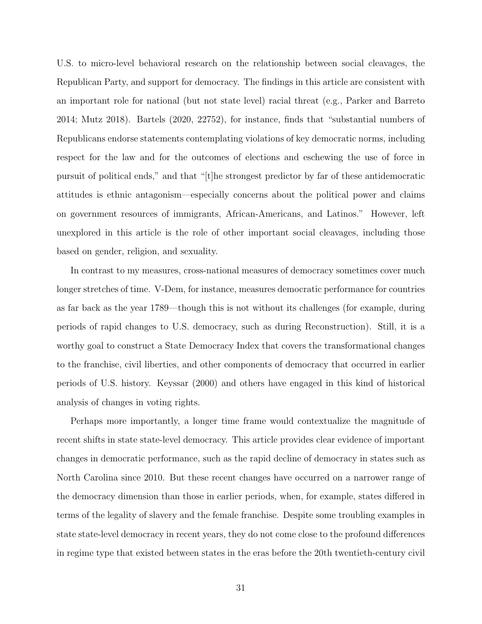U.S. to micro-level behavioral research on the relationship between social cleavages, the Republican Party, and support for democracy. The findings in this article are consistent with an important role for national (but not state level) racial threat (e.g., Parker and Barreto 2014; Mutz 2018). Bartels (2020, 22752), for instance, finds that "substantial numbers of Republicans endorse statements contemplating violations of key democratic norms, including respect for the law and for the outcomes of elections and eschewing the use of force in pursuit of political ends," and that "[t]he strongest predictor by far of these antidemocratic attitudes is ethnic antagonism—especially concerns about the political power and claims on government resources of immigrants, African-Americans, and Latinos." However, left unexplored in this article is the role of other important social cleavages, including those based on gender, religion, and sexuality.

In contrast to my measures, cross-national measures of democracy sometimes cover much longer stretches of time. V-Dem, for instance, measures democratic performance for countries as far back as the year 1789—though this is not without its challenges (for example, during periods of rapid changes to U.S. democracy, such as during Reconstruction). Still, it is a worthy goal to construct a State Democracy Index that covers the transformational changes to the franchise, civil liberties, and other components of democracy that occurred in earlier periods of U.S. history. Keyssar (2000) and others have engaged in this kind of historical analysis of changes in voting rights.

Perhaps more importantly, a longer time frame would contextualize the magnitude of recent shifts in state state-level democracy. This article provides clear evidence of important changes in democratic performance, such as the rapid decline of democracy in states such as North Carolina since 2010. But these recent changes have occurred on a narrower range of the democracy dimension than those in earlier periods, when, for example, states differed in terms of the legality of slavery and the female franchise. Despite some troubling examples in state state-level democracy in recent years, they do not come close to the profound differences in regime type that existed between states in the eras before the 20th twentieth-century civil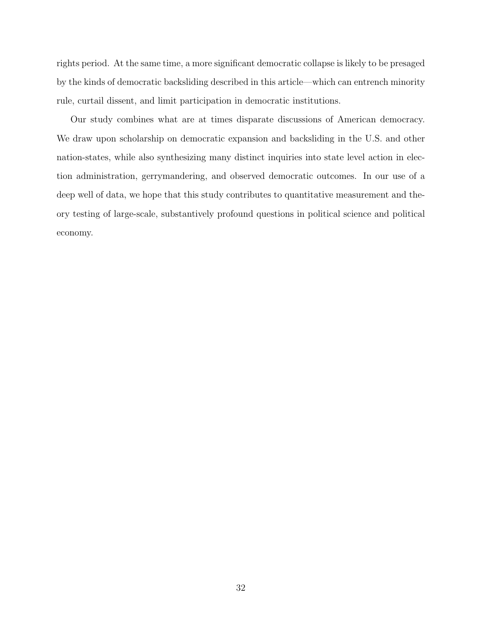rights period. At the same time, a more significant democratic collapse is likely to be presaged by the kinds of democratic backsliding described in this article—which can entrench minority rule, curtail dissent, and limit participation in democratic institutions.

Our study combines what are at times disparate discussions of American democracy. We draw upon scholarship on democratic expansion and backsliding in the U.S. and other nation-states, while also synthesizing many distinct inquiries into state level action in election administration, gerrymandering, and observed democratic outcomes. In our use of a deep well of data, we hope that this study contributes to quantitative measurement and theory testing of large-scale, substantively profound questions in political science and political economy.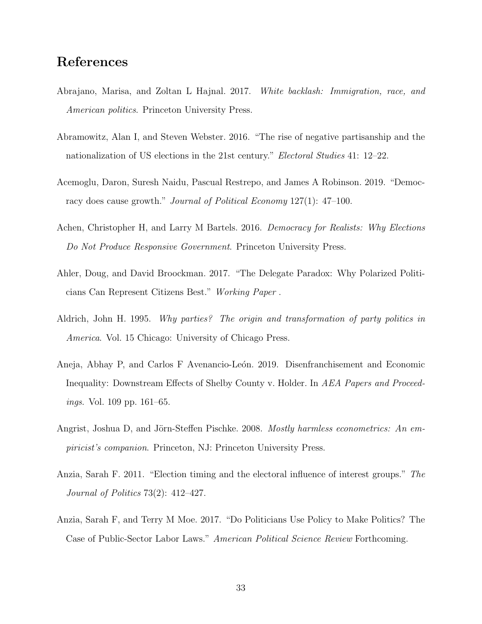## References

- Abrajano, Marisa, and Zoltan L Hajnal. 2017. White backlash: Immigration, race, and American politics. Princeton University Press.
- Abramowitz, Alan I, and Steven Webster. 2016. "The rise of negative partisanship and the nationalization of US elections in the 21st century." Electoral Studies 41: 12–22.
- Acemoglu, Daron, Suresh Naidu, Pascual Restrepo, and James A Robinson. 2019. "Democracy does cause growth." Journal of Political Economy 127(1): 47–100.
- Achen, Christopher H, and Larry M Bartels. 2016. *Democracy for Realists: Why Elections* Do Not Produce Responsive Government. Princeton University Press.
- Ahler, Doug, and David Broockman. 2017. "The Delegate Paradox: Why Polarized Politicians Can Represent Citizens Best." Working Paper .
- Aldrich, John H. 1995. Why parties? The origin and transformation of party politics in America. Vol. 15 Chicago: University of Chicago Press.
- Aneja, Abhay P, and Carlos F Avenancio-León. 2019. Disenfranchisement and Economic Inequality: Downstream Effects of Shelby County v. Holder. In AEA Papers and Proceedings. Vol. 109 pp. 161–65.
- Angrist, Joshua D, and Jörn-Steffen Pischke. 2008. Mostly harmless econometrics: An empiricist's companion. Princeton, NJ: Princeton University Press.
- Anzia, Sarah F. 2011. "Election timing and the electoral influence of interest groups." The Journal of Politics 73(2): 412–427.
- Anzia, Sarah F, and Terry M Moe. 2017. "Do Politicians Use Policy to Make Politics? The Case of Public-Sector Labor Laws." American Political Science Review Forthcoming.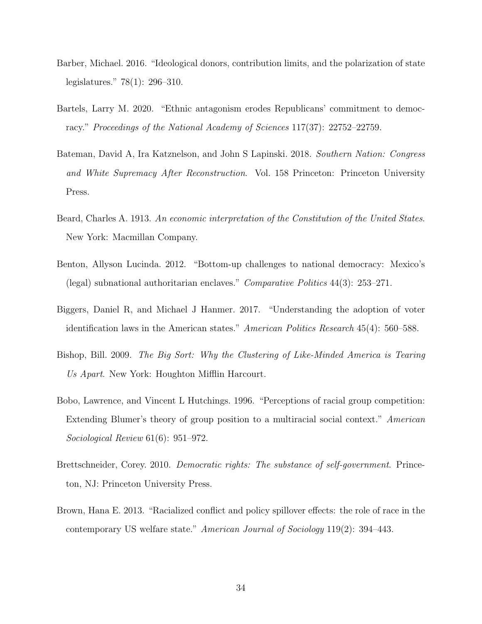- Barber, Michael. 2016. "Ideological donors, contribution limits, and the polarization of state legislatures." 78(1): 296–310.
- Bartels, Larry M. 2020. "Ethnic antagonism erodes Republicans' commitment to democracy." Proceedings of the National Academy of Sciences 117(37): 22752–22759.
- Bateman, David A, Ira Katznelson, and John S Lapinski. 2018. Southern Nation: Congress and White Supremacy After Reconstruction. Vol. 158 Princeton: Princeton University Press.
- Beard, Charles A. 1913. An economic interpretation of the Constitution of the United States. New York: Macmillan Company.
- Benton, Allyson Lucinda. 2012. "Bottom-up challenges to national democracy: Mexico's (legal) subnational authoritarian enclaves." Comparative Politics 44(3): 253–271.
- Biggers, Daniel R, and Michael J Hanmer. 2017. "Understanding the adoption of voter identification laws in the American states." American Politics Research 45(4): 560–588.
- Bishop, Bill. 2009. The Big Sort: Why the Clustering of Like-Minded America is Tearing Us Apart. New York: Houghton Mifflin Harcourt.
- Bobo, Lawrence, and Vincent L Hutchings. 1996. "Perceptions of racial group competition: Extending Blumer's theory of group position to a multiracial social context." American Sociological Review 61(6): 951–972.
- Brettschneider, Corey. 2010. Democratic rights: The substance of self-government. Princeton, NJ: Princeton University Press.
- Brown, Hana E. 2013. "Racialized conflict and policy spillover effects: the role of race in the contemporary US welfare state." American Journal of Sociology 119(2): 394–443.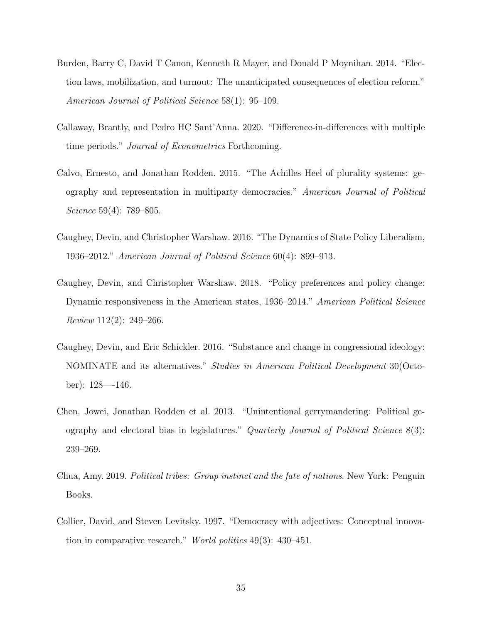- Burden, Barry C, David T Canon, Kenneth R Mayer, and Donald P Moynihan. 2014. "Election laws, mobilization, and turnout: The unanticipated consequences of election reform." American Journal of Political Science 58(1): 95–109.
- Callaway, Brantly, and Pedro HC Sant'Anna. 2020. "Difference-in-differences with multiple time periods." Journal of Econometrics Forthcoming.
- Calvo, Ernesto, and Jonathan Rodden. 2015. "The Achilles Heel of plurality systems: geography and representation in multiparty democracies." American Journal of Political Science 59(4): 789–805.
- Caughey, Devin, and Christopher Warshaw. 2016. "The Dynamics of State Policy Liberalism, 1936–2012." American Journal of Political Science 60(4): 899–913.
- Caughey, Devin, and Christopher Warshaw. 2018. "Policy preferences and policy change: Dynamic responsiveness in the American states, 1936–2014." American Political Science Review 112(2): 249–266.
- Caughey, Devin, and Eric Schickler. 2016. "Substance and change in congressional ideology: NOMINATE and its alternatives." Studies in American Political Development 30(October): 128—-146.
- Chen, Jowei, Jonathan Rodden et al. 2013. "Unintentional gerrymandering: Political geography and electoral bias in legislatures." Quarterly Journal of Political Science 8(3): 239–269.
- Chua, Amy. 2019. Political tribes: Group instinct and the fate of nations. New York: Penguin Books.
- Collier, David, and Steven Levitsky. 1997. "Democracy with adjectives: Conceptual innovation in comparative research." World politics 49(3): 430–451.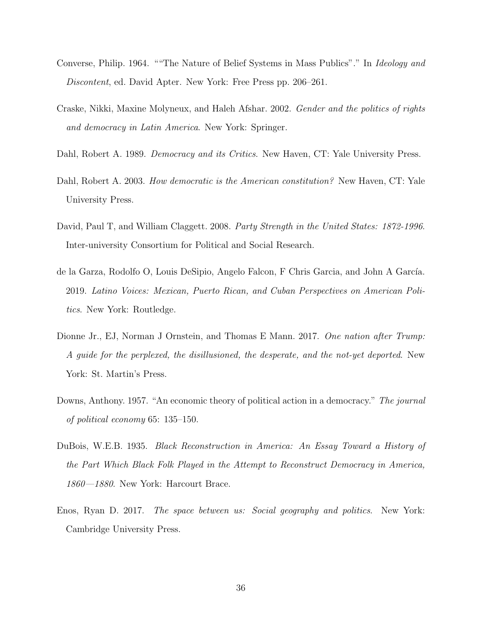- Converse, Philip. 1964. ""The Nature of Belief Systems in Mass Publics"." In Ideology and Discontent, ed. David Apter. New York: Free Press pp. 206–261.
- Craske, Nikki, Maxine Molyneux, and Haleh Afshar. 2002. Gender and the politics of rights and democracy in Latin America. New York: Springer.
- Dahl, Robert A. 1989. *Democracy and its Critics*. New Haven, CT: Yale University Press.
- Dahl, Robert A. 2003. How democratic is the American constitution? New Haven, CT: Yale University Press.
- David, Paul T, and William Claggett. 2008. Party Strength in the United States: 1872-1996. Inter-university Consortium for Political and Social Research.
- de la Garza, Rodolfo O, Louis DeSipio, Angelo Falcon, F Chris García, and John A García. 2019. Latino Voices: Mexican, Puerto Rican, and Cuban Perspectives on American Politics. New York: Routledge.
- Dionne Jr., EJ, Norman J Ornstein, and Thomas E Mann. 2017. One nation after Trump: A guide for the perplexed, the disillusioned, the desperate, and the not-yet deported. New York: St. Martin's Press.
- Downs, Anthony. 1957. "An economic theory of political action in a democracy." The journal of political economy 65: 135–150.
- DuBois, W.E.B. 1935. Black Reconstruction in America: An Essay Toward a History of the Part Which Black Folk Played in the Attempt to Reconstruct Democracy in America, 1860—1880. New York: Harcourt Brace.
- Enos, Ryan D. 2017. The space between us: Social geography and politics. New York: Cambridge University Press.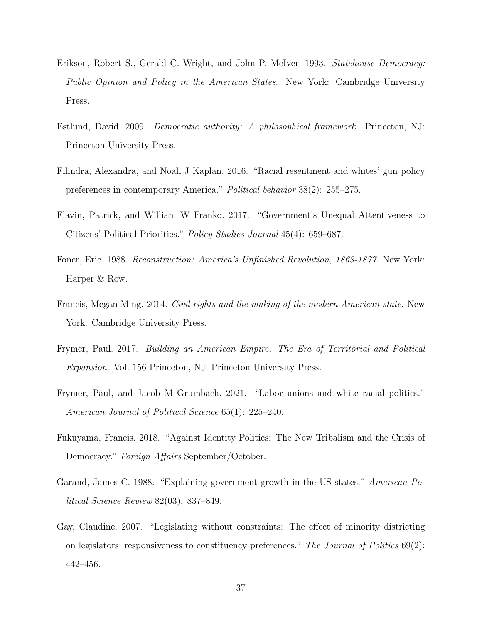- Erikson, Robert S., Gerald C. Wright, and John P. McIver. 1993. Statehouse Democracy: Public Opinion and Policy in the American States. New York: Cambridge University Press.
- Estlund, David. 2009. Democratic authority: A philosophical framework. Princeton, NJ: Princeton University Press.
- Filindra, Alexandra, and Noah J Kaplan. 2016. "Racial resentment and whites' gun policy preferences in contemporary America." Political behavior 38(2): 255–275.
- Flavin, Patrick, and William W Franko. 2017. "Government's Unequal Attentiveness to Citizens' Political Priorities." Policy Studies Journal 45(4): 659–687.
- Foner, Eric. 1988. Reconstruction: America's Unfinished Revolution, 1863-1877. New York: Harper & Row.
- Francis, Megan Ming. 2014. Civil rights and the making of the modern American state. New York: Cambridge University Press.
- Frymer, Paul. 2017. Building an American Empire: The Era of Territorial and Political Expansion. Vol. 156 Princeton, NJ: Princeton University Press.
- Frymer, Paul, and Jacob M Grumbach. 2021. "Labor unions and white racial politics." American Journal of Political Science 65(1): 225–240.
- Fukuyama, Francis. 2018. "Against Identity Politics: The New Tribalism and the Crisis of Democracy." Foreign Affairs September/October.
- Garand, James C. 1988. "Explaining government growth in the US states." American Political Science Review 82(03): 837–849.
- Gay, Claudine. 2007. "Legislating without constraints: The effect of minority districting on legislators' responsiveness to constituency preferences." The Journal of Politics 69(2): 442–456.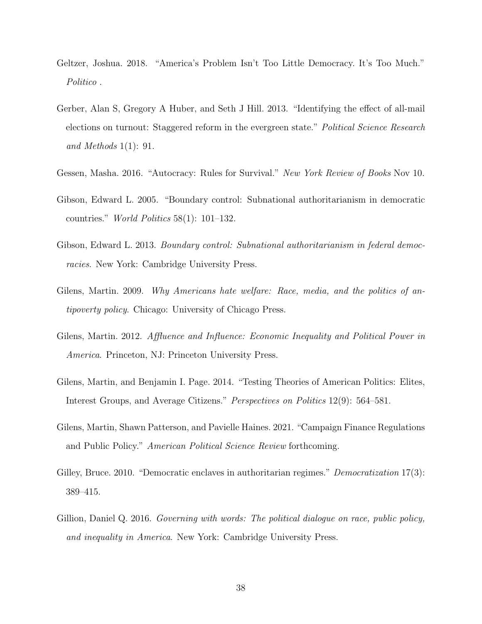- Geltzer, Joshua. 2018. "America's Problem Isn't Too Little Democracy. It's Too Much." Politico .
- Gerber, Alan S, Gregory A Huber, and Seth J Hill. 2013. "Identifying the effect of all-mail elections on turnout: Staggered reform in the evergreen state." Political Science Research and Methods 1(1): 91.
- Gessen, Masha. 2016. "Autocracy: Rules for Survival." New York Review of Books Nov 10.
- Gibson, Edward L. 2005. "Boundary control: Subnational authoritarianism in democratic countries." World Politics 58(1): 101–132.
- Gibson, Edward L. 2013. Boundary control: Subnational authoritarianism in federal democracies. New York: Cambridge University Press.
- Gilens, Martin. 2009. *Why Americans hate welfare: Race, media, and the politics of an*tipoverty policy. Chicago: University of Chicago Press.
- Gilens, Martin. 2012. Affluence and Influence: Economic Inequality and Political Power in America. Princeton, NJ: Princeton University Press.
- Gilens, Martin, and Benjamin I. Page. 2014. "Testing Theories of American Politics: Elites, Interest Groups, and Average Citizens." Perspectives on Politics 12(9): 564–581.
- Gilens, Martin, Shawn Patterson, and Pavielle Haines. 2021. "Campaign Finance Regulations and Public Policy." American Political Science Review forthcoming.
- Gilley, Bruce. 2010. "Democratic enclaves in authoritarian regimes." Democratization 17(3): 389–415.
- Gillion, Daniel Q. 2016. Governing with words: The political dialogue on race, public policy, and inequality in America. New York: Cambridge University Press.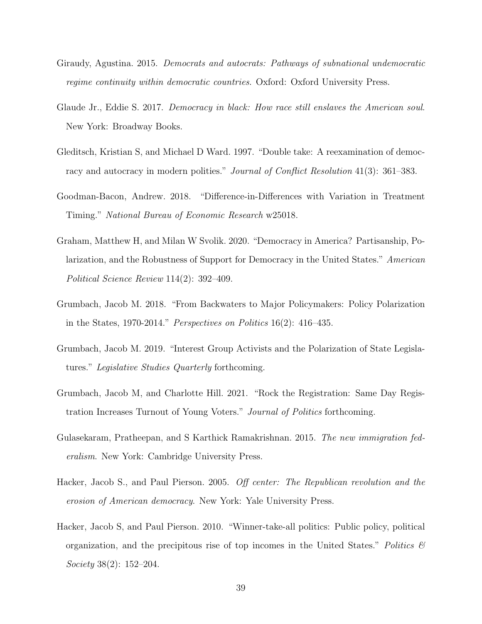- Giraudy, Agustina. 2015. Democrats and autocrats: Pathways of subnational undemocratic regime continuity within democratic countries. Oxford: Oxford University Press.
- Glaude Jr., Eddie S. 2017. Democracy in black: How race still enslaves the American soul. New York: Broadway Books.
- Gleditsch, Kristian S, and Michael D Ward. 1997. "Double take: A reexamination of democracy and autocracy in modern polities." *Journal of Conflict Resolution* 41(3): 361–383.
- Goodman-Bacon, Andrew. 2018. "Difference-in-Differences with Variation in Treatment Timing." National Bureau of Economic Research w25018.
- Graham, Matthew H, and Milan W Svolik. 2020. "Democracy in America? Partisanship, Polarization, and the Robustness of Support for Democracy in the United States." American Political Science Review 114(2): 392–409.
- Grumbach, Jacob M. 2018. "From Backwaters to Major Policymakers: Policy Polarization in the States, 1970-2014." Perspectives on Politics 16(2): 416–435.
- Grumbach, Jacob M. 2019. "Interest Group Activists and the Polarization of State Legislatures." Legislative Studies Quarterly forthcoming.
- Grumbach, Jacob M, and Charlotte Hill. 2021. "Rock the Registration: Same Day Registration Increases Turnout of Young Voters." Journal of Politics forthcoming.
- Gulasekaram, Pratheepan, and S Karthick Ramakrishnan. 2015. The new immigration federalism. New York: Cambridge University Press.
- Hacker, Jacob S., and Paul Pierson. 2005. Off center: The Republican revolution and the erosion of American democracy. New York: Yale University Press.
- Hacker, Jacob S, and Paul Pierson. 2010. "Winner-take-all politics: Public policy, political organization, and the precipitous rise of top incomes in the United States." Politics  $\mathcal{C}$ Society 38(2): 152–204.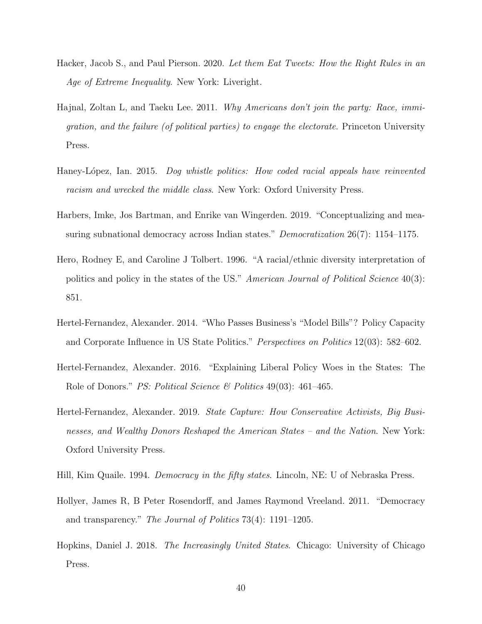- Hacker, Jacob S., and Paul Pierson. 2020. Let them Eat Tweets: How the Right Rules in an Age of Extreme Inequality. New York: Liveright.
- Hajnal, Zoltan L, and Taeku Lee. 2011. *Why Americans don't join the party: Race, immi*gration, and the failure (of political parties) to engage the electorate. Princeton University Press.
- Haney-López, Ian. 2015. Dog whistle politics: How coded racial appeals have reinvented racism and wrecked the middle class. New York: Oxford University Press.
- Harbers, Imke, Jos Bartman, and Enrike van Wingerden. 2019. "Conceptualizing and measuring subnational democracy across Indian states." *Democratization* 26(7): 1154–1175.
- Hero, Rodney E, and Caroline J Tolbert. 1996. "A racial/ethnic diversity interpretation of politics and policy in the states of the US." American Journal of Political Science 40(3): 851.
- Hertel-Fernandez, Alexander. 2014. "Who Passes Business's "Model Bills"? Policy Capacity and Corporate Influence in US State Politics." Perspectives on Politics 12(03): 582–602.
- Hertel-Fernandez, Alexander. 2016. "Explaining Liberal Policy Woes in the States: The Role of Donors." PS: Political Science  $\mathcal B$  Politics 49(03): 461–465.
- Hertel-Fernandez, Alexander. 2019. State Capture: How Conservative Activists, Big Businesses, and Wealthy Donors Reshaped the American States – and the Nation. New York: Oxford University Press.
- Hill, Kim Quaile. 1994. *Democracy in the fifty states.* Lincoln, NE: U of Nebraska Press.
- Hollyer, James R, B Peter Rosendorff, and James Raymond Vreeland. 2011. "Democracy and transparency." The Journal of Politics 73(4): 1191–1205.
- Hopkins, Daniel J. 2018. The Increasingly United States. Chicago: University of Chicago Press.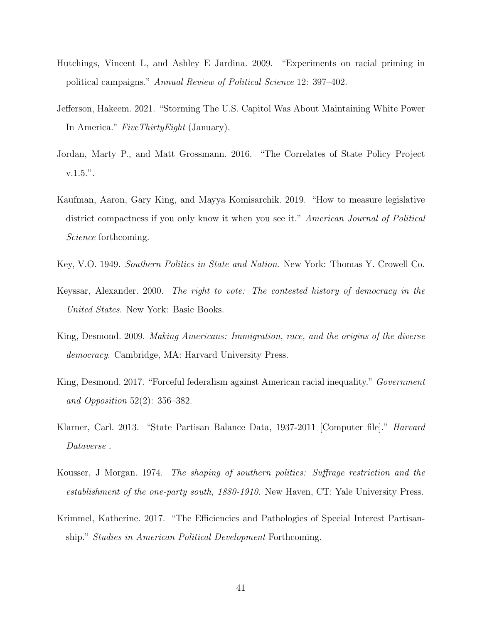- Hutchings, Vincent L, and Ashley E Jardina. 2009. "Experiments on racial priming in political campaigns." Annual Review of Political Science 12: 397–402.
- Jefferson, Hakeem. 2021. "Storming The U.S. Capitol Was About Maintaining White Power In America." FiveThirtyEight (January).
- Jordan, Marty P., and Matt Grossmann. 2016. "The Correlates of State Policy Project v.1.5.".
- Kaufman, Aaron, Gary King, and Mayya Komisarchik. 2019. "How to measure legislative district compactness if you only know it when you see it." American Journal of Political Science forthcoming.
- Key, V.O. 1949. Southern Politics in State and Nation. New York: Thomas Y. Crowell Co.
- Keyssar, Alexander. 2000. The right to vote: The contested history of democracy in the United States. New York: Basic Books.
- King, Desmond. 2009. Making Americans: Immigration, race, and the origins of the diverse democracy. Cambridge, MA: Harvard University Press.
- King, Desmond. 2017. "Forceful federalism against American racial inequality." Government and Opposition 52(2): 356–382.
- Klarner, Carl. 2013. "State Partisan Balance Data, 1937-2011 [Computer file]." Harvard Dataverse .
- Kousser, J Morgan. 1974. The shaping of southern politics: Suffrage restriction and the establishment of the one-party south, 1880-1910. New Haven, CT: Yale University Press.
- Krimmel, Katherine. 2017. "The Efficiencies and Pathologies of Special Interest Partisanship." Studies in American Political Development Forthcoming.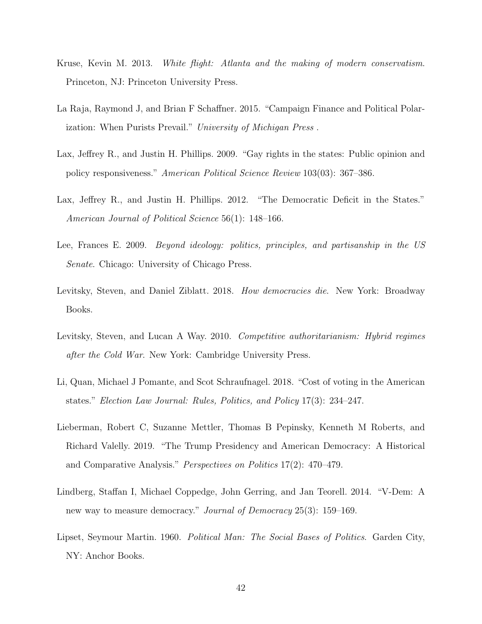- Kruse, Kevin M. 2013. White flight: Atlanta and the making of modern conservatism. Princeton, NJ: Princeton University Press.
- La Raja, Raymond J, and Brian F Schaffner. 2015. "Campaign Finance and Political Polarization: When Purists Prevail." University of Michigan Press .
- Lax, Jeffrey R., and Justin H. Phillips. 2009. "Gay rights in the states: Public opinion and policy responsiveness." American Political Science Review 103(03): 367–386.
- Lax, Jeffrey R., and Justin H. Phillips. 2012. "The Democratic Deficit in the States." American Journal of Political Science 56(1): 148–166.
- Lee, Frances E. 2009. Beyond ideology: politics, principles, and partisanship in the US Senate. Chicago: University of Chicago Press.
- Levitsky, Steven, and Daniel Ziblatt. 2018. How democracies die. New York: Broadway Books.
- Levitsky, Steven, and Lucan A Way. 2010. Competitive authoritarianism: Hybrid regimes after the Cold War. New York: Cambridge University Press.
- Li, Quan, Michael J Pomante, and Scot Schraufnagel. 2018. "Cost of voting in the American states." Election Law Journal: Rules, Politics, and Policy 17(3): 234–247.
- Lieberman, Robert C, Suzanne Mettler, Thomas B Pepinsky, Kenneth M Roberts, and Richard Valelly. 2019. "The Trump Presidency and American Democracy: A Historical and Comparative Analysis." Perspectives on Politics 17(2): 470–479.
- Lindberg, Staffan I, Michael Coppedge, John Gerring, and Jan Teorell. 2014. "V-Dem: A new way to measure democracy." *Journal of Democracy* 25(3): 159–169.
- Lipset, Seymour Martin. 1960. Political Man: The Social Bases of Politics. Garden City, NY: Anchor Books.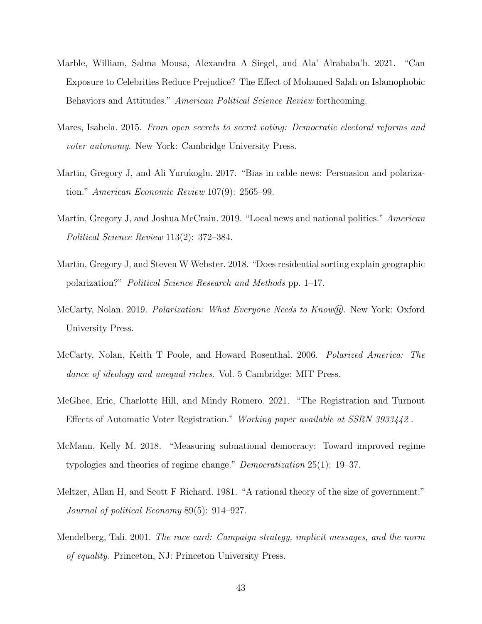- Marble, William, Salma Mousa, Alexandra A Siegel, and Ala' Alrababa'h. 2021. "Can Exposure to Celebrities Reduce Prejudice? The Effect of Mohamed Salah on Islamophobic Behaviors and Attitudes." American Political Science Review forthcoming.
- Mares, Isabela. 2015. From open secrets to secret voting: Democratic electoral reforms and voter autonomy. New York: Cambridge University Press.
- Martin, Gregory J, and Ali Yurukoglu. 2017. "Bias in cable news: Persuasion and polarization." American Economic Review 107(9): 2565–99.
- Martin, Gregory J, and Joshua McCrain. 2019. "Local news and national politics." American Political Science Review 113(2): 372–384.
- Martin, Gregory J, and Steven W Webster. 2018. "Does residential sorting explain geographic polarization?" Political Science Research and Methods pp. 1–17.
- McCarty, Nolan. 2019. *Polarization: What Everyone Needs to Know*(*R*). New York: Oxford University Press.
- McCarty, Nolan, Keith T Poole, and Howard Rosenthal. 2006. Polarized America: The dance of ideology and unequal riches. Vol. 5 Cambridge: MIT Press.
- McGhee, Eric, Charlotte Hill, and Mindy Romero. 2021. "The Registration and Turnout Effects of Automatic Voter Registration." Working paper available at SSRN 3933442 .
- McMann, Kelly M. 2018. "Measuring subnational democracy: Toward improved regime typologies and theories of regime change." Democratization 25(1): 19–37.
- Meltzer, Allan H, and Scott F Richard. 1981. "A rational theory of the size of government." Journal of political Economy 89(5): 914–927.
- Mendelberg, Tali. 2001. The race card: Campaign strategy, implicit messages, and the norm of equality. Princeton, NJ: Princeton University Press.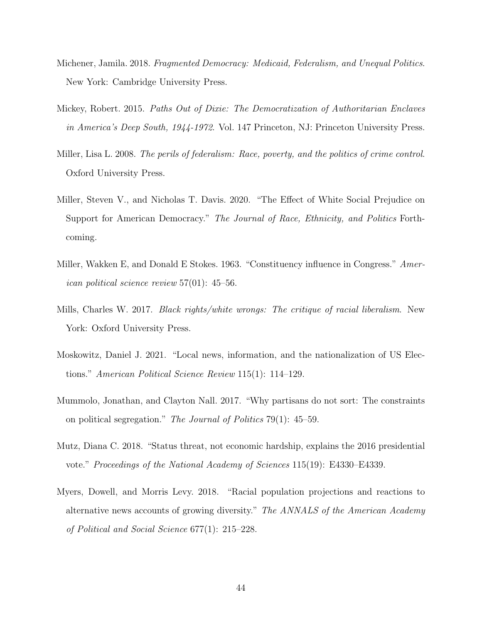- Michener, Jamila. 2018. Fragmented Democracy: Medicaid, Federalism, and Unequal Politics. New York: Cambridge University Press.
- Mickey, Robert. 2015. Paths Out of Dixie: The Democratization of Authoritarian Enclaves in America's Deep South, 1944-1972. Vol. 147 Princeton, NJ: Princeton University Press.
- Miller, Lisa L. 2008. The perils of federalism: Race, poverty, and the politics of crime control. Oxford University Press.
- Miller, Steven V., and Nicholas T. Davis. 2020. "The Effect of White Social Prejudice on Support for American Democracy." The Journal of Race, Ethnicity, and Politics Forthcoming.
- Miller, Wakken E, and Donald E Stokes. 1963. "Constituency influence in Congress." American political science review 57(01): 45–56.
- Mills, Charles W. 2017. Black rights/white wrongs: The critique of racial liberalism. New York: Oxford University Press.
- Moskowitz, Daniel J. 2021. "Local news, information, and the nationalization of US Elections." American Political Science Review 115(1): 114–129.
- Mummolo, Jonathan, and Clayton Nall. 2017. "Why partisans do not sort: The constraints on political segregation." The Journal of Politics 79(1): 45–59.
- Mutz, Diana C. 2018. "Status threat, not economic hardship, explains the 2016 presidential vote." Proceedings of the National Academy of Sciences 115(19): E4330–E4339.
- Myers, Dowell, and Morris Levy. 2018. "Racial population projections and reactions to alternative news accounts of growing diversity." The ANNALS of the American Academy of Political and Social Science 677(1): 215–228.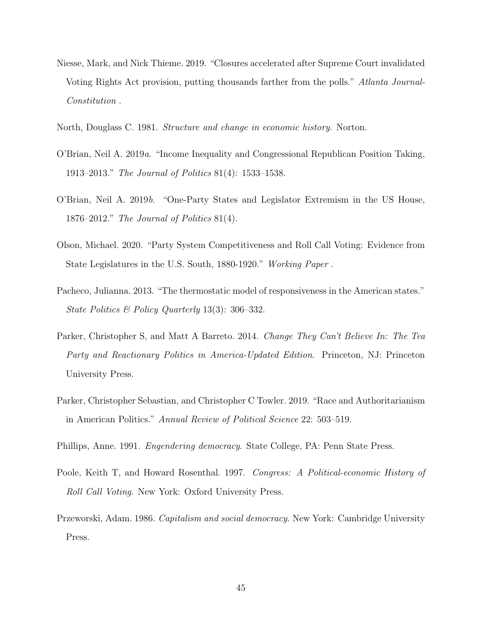- Niesse, Mark, and Nick Thieme. 2019. "Closures accelerated after Supreme Court invalidated Voting Rights Act provision, putting thousands farther from the polls." Atlanta Journal-Constitution .
- North, Douglass C. 1981. Structure and change in economic history. Norton.
- O'Brian, Neil A. 2019a. "Income Inequality and Congressional Republican Position Taking, 1913–2013." The Journal of Politics 81(4): 1533–1538.
- O'Brian, Neil A. 2019b. "One-Party States and Legislator Extremism in the US House, 1876–2012." The Journal of Politics 81(4).
- Olson, Michael. 2020. "Party System Competitiveness and Roll Call Voting: Evidence from State Legislatures in the U.S. South, 1880-1920." Working Paper .
- Pacheco, Julianna. 2013. "The thermostatic model of responsiveness in the American states." State Politics & Policy Quarterly 13(3): 306–332.
- Parker, Christopher S, and Matt A Barreto. 2014. *Change They Can't Believe In: The Tea* Party and Reactionary Politics in America-Updated Edition. Princeton, NJ: Princeton University Press.
- Parker, Christopher Sebastian, and Christopher C Towler. 2019. "Race and Authoritarianism in American Politics." Annual Review of Political Science 22: 503–519.
- Phillips, Anne. 1991. Engendering democracy. State College, PA: Penn State Press.
- Poole, Keith T, and Howard Rosenthal. 1997. Congress: A Political-economic History of Roll Call Voting. New York: Oxford University Press.
- Przeworski, Adam. 1986. Capitalism and social democracy. New York: Cambridge University Press.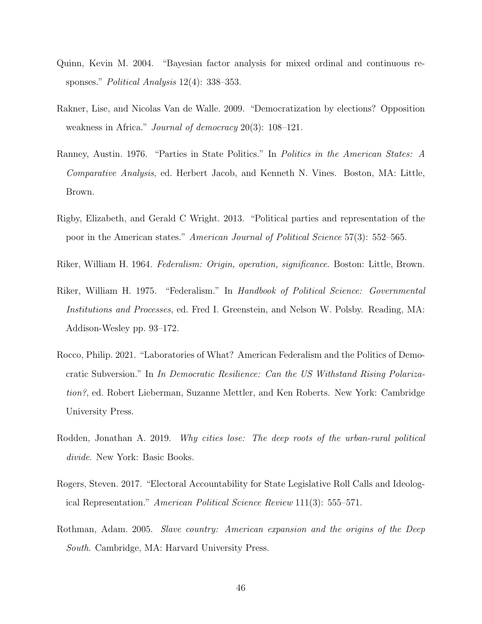- Quinn, Kevin M. 2004. "Bayesian factor analysis for mixed ordinal and continuous responses." *Political Analysis* 12(4): 338–353.
- Rakner, Lise, and Nicolas Van de Walle. 2009. "Democratization by elections? Opposition weakness in Africa." *Journal of democracy* 20(3): 108–121.
- Ranney, Austin. 1976. "Parties in State Politics." In Politics in the American States: A Comparative Analysis, ed. Herbert Jacob, and Kenneth N. Vines. Boston, MA: Little, Brown.
- Rigby, Elizabeth, and Gerald C Wright. 2013. "Political parties and representation of the poor in the American states." American Journal of Political Science 57(3): 552–565.
- Riker, William H. 1964. Federalism: Origin, operation, significance. Boston: Little, Brown.
- Riker, William H. 1975. "Federalism." In Handbook of Political Science: Governmental Institutions and Processes, ed. Fred I. Greenstein, and Nelson W. Polsby. Reading, MA: Addison-Wesley pp. 93–172.
- Rocco, Philip. 2021. "Laboratories of What? American Federalism and the Politics of Democratic Subversion." In In Democratic Resilience: Can the US Withstand Rising Polarization?, ed. Robert Lieberman, Suzanne Mettler, and Ken Roberts. New York: Cambridge University Press.
- Rodden, Jonathan A. 2019. Why cities lose: The deep roots of the urban-rural political divide. New York: Basic Books.
- Rogers, Steven. 2017. "Electoral Accountability for State Legislative Roll Calls and Ideological Representation." American Political Science Review 111(3): 555–571.
- Rothman, Adam. 2005. Slave country: American expansion and the origins of the Deep South. Cambridge, MA: Harvard University Press.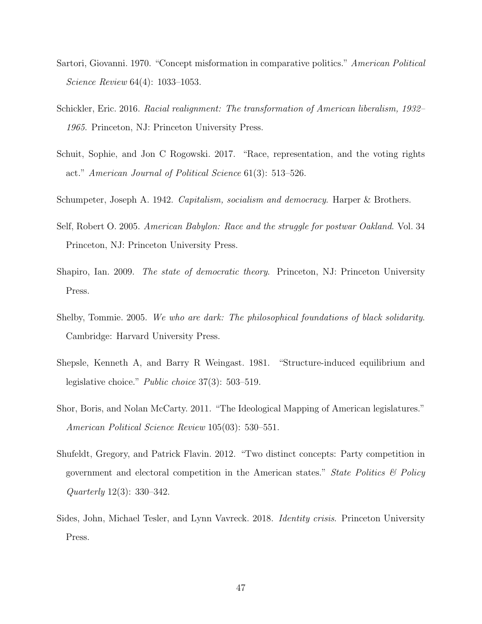- Sartori, Giovanni. 1970. "Concept misformation in comparative politics." American Political Science Review 64(4): 1033–1053.
- Schickler, Eric. 2016. Racial realignment: The transformation of American liberalism, 1932– 1965. Princeton, NJ: Princeton University Press.
- Schuit, Sophie, and Jon C Rogowski. 2017. "Race, representation, and the voting rights act." American Journal of Political Science 61(3): 513–526.
- Schumpeter, Joseph A. 1942. Capitalism, socialism and democracy. Harper & Brothers.
- Self, Robert O. 2005. American Babylon: Race and the struggle for postwar Oakland. Vol. 34 Princeton, NJ: Princeton University Press.
- Shapiro, Ian. 2009. The state of democratic theory. Princeton, NJ: Princeton University Press.
- Shelby, Tommie. 2005. We who are dark: The philosophical foundations of black solidarity. Cambridge: Harvard University Press.
- Shepsle, Kenneth A, and Barry R Weingast. 1981. "Structure-induced equilibrium and legislative choice." Public choice 37(3): 503–519.
- Shor, Boris, and Nolan McCarty. 2011. "The Ideological Mapping of American legislatures." American Political Science Review 105(03): 530–551.
- Shufeldt, Gregory, and Patrick Flavin. 2012. "Two distinct concepts: Party competition in government and electoral competition in the American states." State Politics  $\mathcal{C}$  Policy Quarterly 12(3): 330–342.
- Sides, John, Michael Tesler, and Lynn Vavreck. 2018. Identity crisis. Princeton University Press.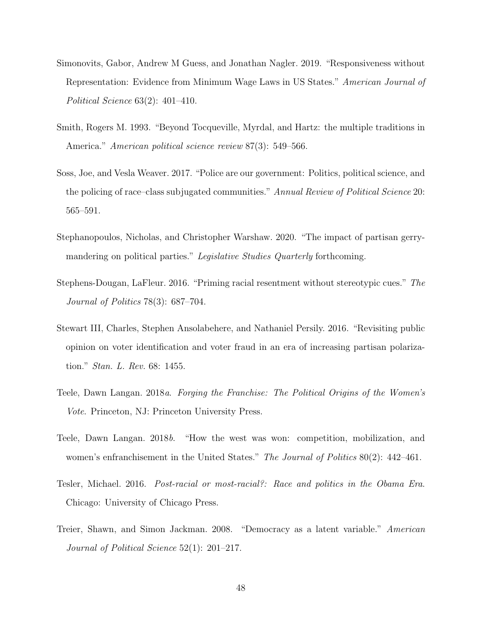- Simonovits, Gabor, Andrew M Guess, and Jonathan Nagler. 2019. "Responsiveness without Representation: Evidence from Minimum Wage Laws in US States." American Journal of Political Science 63(2): 401–410.
- Smith, Rogers M. 1993. "Beyond Tocqueville, Myrdal, and Hartz: the multiple traditions in America." *American political science review* 87(3): 549–566.
- Soss, Joe, and Vesla Weaver. 2017. "Police are our government: Politics, political science, and the policing of race–class subjugated communities." Annual Review of Political Science 20: 565–591.
- Stephanopoulos, Nicholas, and Christopher Warshaw. 2020. "The impact of partisan gerrymandering on political parties." Legislative Studies Quarterly forthcoming.
- Stephens-Dougan, LaFleur. 2016. "Priming racial resentment without stereotypic cues." The Journal of Politics 78(3): 687–704.
- Stewart III, Charles, Stephen Ansolabehere, and Nathaniel Persily. 2016. "Revisiting public opinion on voter identification and voter fraud in an era of increasing partisan polarization." Stan. L. Rev. 68: 1455.
- Teele, Dawn Langan. 2018a. Forging the Franchise: The Political Origins of the Women's Vote. Princeton, NJ: Princeton University Press.
- Teele, Dawn Langan. 2018b. "How the west was won: competition, mobilization, and women's enfranchisement in the United States." The Journal of Politics 80(2): 442–461.
- Tesler, Michael. 2016. Post-racial or most-racial?: Race and politics in the Obama Era. Chicago: University of Chicago Press.
- Treier, Shawn, and Simon Jackman. 2008. "Democracy as a latent variable." American Journal of Political Science 52(1): 201–217.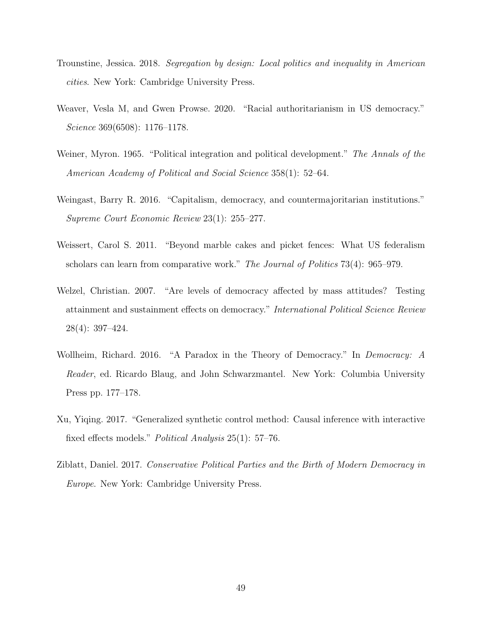- Trounstine, Jessica. 2018. Segregation by design: Local politics and inequality in American cities. New York: Cambridge University Press.
- Weaver, Vesla M, and Gwen Prowse. 2020. "Racial authoritarianism in US democracy." Science 369(6508): 1176–1178.
- Weiner, Myron. 1965. "Political integration and political development." The Annals of the American Academy of Political and Social Science 358(1): 52–64.
- Weingast, Barry R. 2016. "Capitalism, democracy, and countermajoritarian institutions." Supreme Court Economic Review 23(1): 255–277.
- Weissert, Carol S. 2011. "Beyond marble cakes and picket fences: What US federalism scholars can learn from comparative work." The Journal of Politics 73(4): 965–979.
- Welzel, Christian. 2007. "Are levels of democracy affected by mass attitudes? Testing attainment and sustainment effects on democracy." International Political Science Review 28(4): 397–424.
- Wollheim, Richard. 2016. "A Paradox in the Theory of Democracy." In Democracy: A Reader, ed. Ricardo Blaug, and John Schwarzmantel. New York: Columbia University Press pp. 177–178.
- Xu, Yiqing. 2017. "Generalized synthetic control method: Causal inference with interactive fixed effects models." Political Analysis 25(1): 57–76.
- Ziblatt, Daniel. 2017. Conservative Political Parties and the Birth of Modern Democracy in Europe. New York: Cambridge University Press.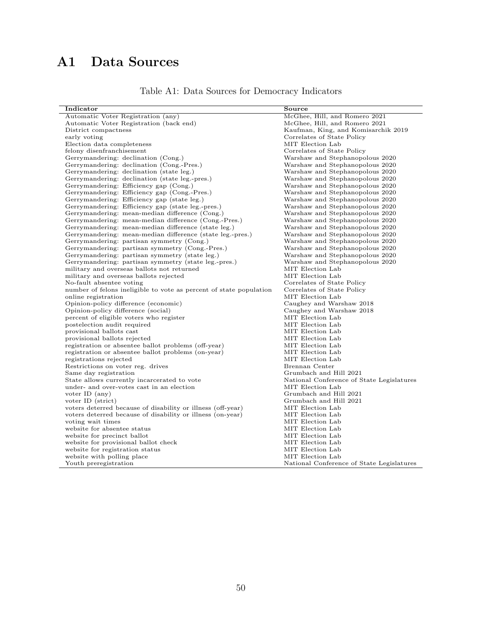## A1 Data Sources

|  |  |  |  | Table A1: Data Sources for Democracy Indicators |  |
|--|--|--|--|-------------------------------------------------|--|
|--|--|--|--|-------------------------------------------------|--|

| Indicator                                                                                 | Source                                       |
|-------------------------------------------------------------------------------------------|----------------------------------------------|
| Automatic Voter Registration (any)                                                        | McGhee, Hill, and Romero 2021                |
| Automatic Voter Registration (back end)                                                   | McGhee, Hill, and Romero 2021                |
| District compactness                                                                      | Kaufman, King, and Komisarchik 2019          |
| early voting                                                                              | Correlates of State Policy                   |
| Election data completeness                                                                | MIT Election Lab                             |
| felony disenfranchisement                                                                 | Correlates of State Policy                   |
| Gerrymandering: declination (Cong.)                                                       | Warshaw and Stephanopolous 2020              |
| Gerrymandering: declination (Cong.-Pres.)                                                 | Warshaw and Stephanopolous 2020              |
| Gerrymandering: declination (state leg.)                                                  | Warshaw and Stephanopolous 2020              |
| Gerrymandering: declination (state leg.-pres.)                                            | Warshaw and Stephanopolous 2020              |
| Gerrymandering: Efficiency gap (Cong.)                                                    | Warshaw and Stephanopolous 2020              |
| Gerrymandering: Efficiency gap (Cong.-Pres.)                                              | Warshaw and Stephanopolous 2020              |
| Gerrymandering: Efficiency gap (state leg.)                                               | Warshaw and Stephanopolous 2020              |
| Gerrymandering: Efficiency gap (state leg.-pres.)                                         | Warshaw and Stephanopolous 2020              |
| Gerrymandering: mean-median difference (Cong.)                                            | Warshaw and Stephanopolous 2020              |
| Gerrymandering: mean-median difference (Cong.-Pres.)                                      | Warshaw and Stephanopolous 2020              |
| Gerrymandering: mean-median difference (state leg.)                                       | Warshaw and Stephanopolous 2020              |
| Gerrymandering: mean-median difference (state leg.-pres.)                                 | Warshaw and Stephanopolous 2020              |
| Gerrymandering: partisan symmetry (Cong.)                                                 | Warshaw and Stephanopolous 2020              |
| Gerrymandering: partisan symmetry (Cong.-Pres.)                                           | Warshaw and Stephanopolous 2020              |
| Gerrymandering: partisan symmetry (state leg.)                                            | Warshaw and Stephanopolous 2020              |
| Gerrymandering: partisan symmetry (state leg.-pres.)                                      | Warshaw and Stephanopolous 2020              |
| military and overseas ballots not returned                                                | MIT Election Lab                             |
| military and overseas ballots rejected                                                    | MIT Election Lab                             |
| No-fault absentee voting                                                                  | Correlates of State Policy                   |
|                                                                                           | Correlates of State Policy                   |
| number of felons ineligible to vote as percent of state population<br>online registration | MIT Election Lab                             |
|                                                                                           | Caughey and Warshaw 2018                     |
| Opinion-policy difference (economic)                                                      |                                              |
| Opinion-policy difference (social)                                                        | Caughey and Warshaw 2018<br>MIT Election Lab |
| percent of eligible voters who register                                                   | MIT Election Lab                             |
| postelection audit required                                                               |                                              |
| provisional ballots cast                                                                  | MIT Election Lab                             |
| provisional ballots rejected                                                              | MIT Election Lab                             |
| registration or absentee ballot problems (off-year)                                       | MIT Election Lab                             |
| registration or absentee ballot problems (on-year)                                        | MIT Election Lab                             |
| registrations rejected                                                                    | MIT Election Lab                             |
| Restrictions on voter reg. drives                                                         | Brennan Center                               |
| Same day registration                                                                     | Grumbach and Hill 2021                       |
| State allows currently incarcerated to vote                                               | National Conference of State Legislatures    |
| under- and over-votes cast in an election                                                 | MIT Election Lab                             |
| voter ID $(any)$                                                                          | Grumbach and Hill 2021                       |
| voter ID (strict)                                                                         | Grumbach and Hill 2021                       |
| voters deterred because of disability or illness (off-year)                               | MIT Election Lab                             |
| voters deterred because of disability or illness (on-year)                                | MIT Election Lab                             |
| voting wait times                                                                         | MIT Election Lab                             |
| website for absentee status                                                               | MIT Election Lab                             |
| website for precinct ballot                                                               | MIT Election Lab                             |
| website for provisional ballot check                                                      | MIT Election Lab                             |
| website for registration status                                                           | MIT Election Lab                             |
| website with polling place                                                                | MIT Election Lab                             |
| Youth preregistration                                                                     | National Conference of State Legislatures    |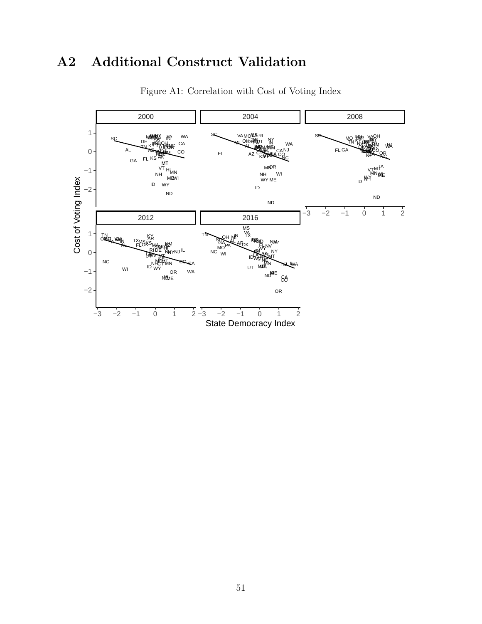## A2 Additional Construct Validation



Figure A1: Correlation with Cost of Voting Index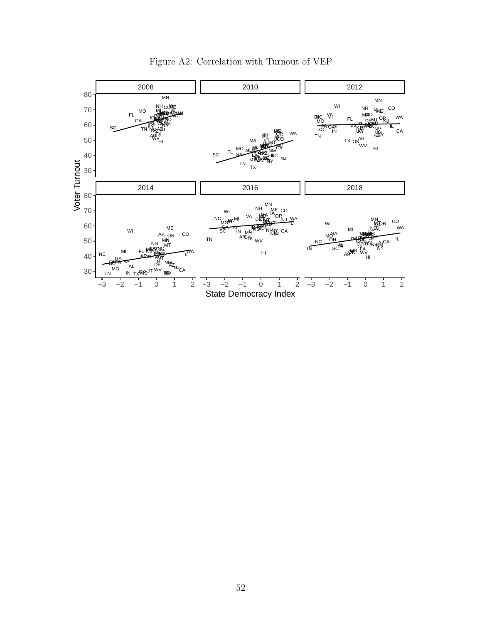

Figure A2: Correlation with Turnout of VEP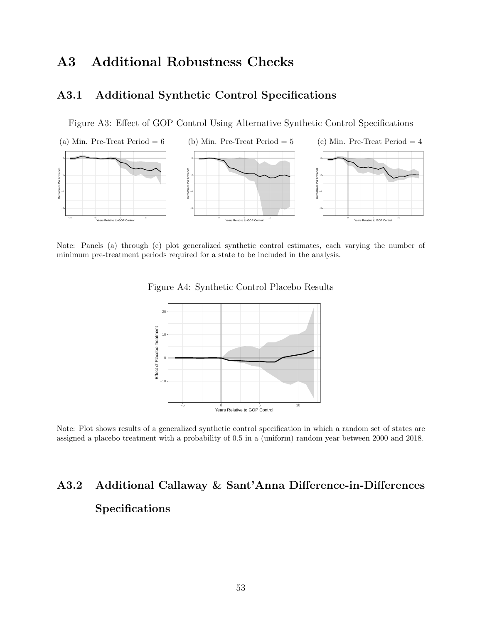### A3 Additional Robustness Checks

### A3.1 Additional Synthetic Control Specifications

Figure A3: Effect of GOP Control Using Alternative Synthetic Control Specifications



Note: Panels (a) through (c) plot generalized synthetic control estimates, each varying the number of minimum pre-treatment periods required for a state to be included in the analysis.

Figure A4: Synthetic Control Placebo Results



Note: Plot shows results of a generalized synthetic control specification in which a random set of states are assigned a placebo treatment with a probability of 0.5 in a (uniform) random year between 2000 and 2018.

# A3.2 Additional Callaway & Sant'Anna Difference-in-Differences Specifications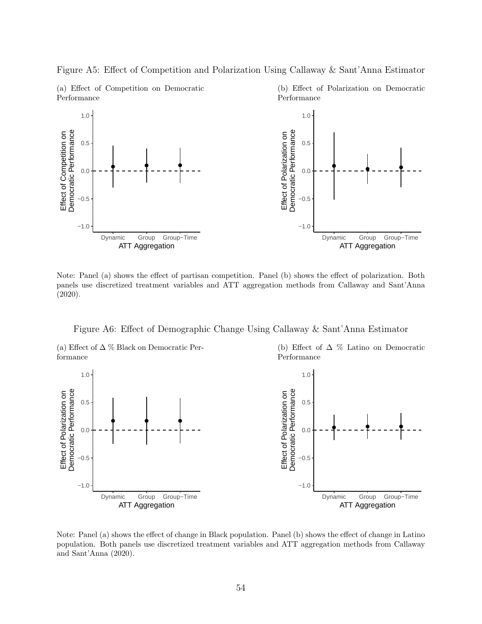

Figure A5: Effect of Competition and Polarization Using Callaway & Sant'Anna Estimator

Note: Panel (a) shows the effect of partisan competition. Panel (b) shows the effect of polarization. Both panels use discretized treatment variables and ATT aggregation methods from Callaway and Sant'Anna (2020).

Figure A6: Effect of Demographic Change Using Callaway & Sant'Anna Estimator

(a) Effect of  $\Delta \%$  Black on Democratic Performance

(b) Effect of  $\Delta \%$  Latino on Democratic Performance



Note: Panel (a) shows the effect of change in Black population. Panel (b) shows the effect of change in Latino population. Both panels use discretized treatment variables and ATT aggregation methods from Callaway and Sant'Anna (2020).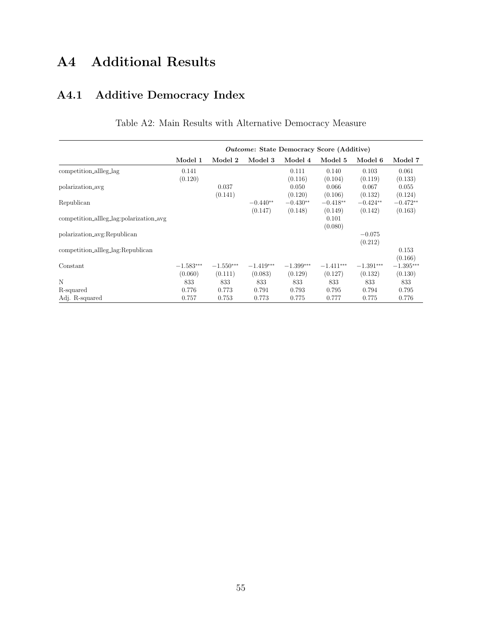## A4 Additional Results

## A4.1 Additive Democracy Index

|                                         | <i>Outcome:</i> State Democracy Score (Additive) |                        |                        |                        |                        |                        |                        |  |
|-----------------------------------------|--------------------------------------------------|------------------------|------------------------|------------------------|------------------------|------------------------|------------------------|--|
|                                         | Model 1                                          | Model 2                | Model 3                | Model 4                | Model 5                | Model 6                | Model 7                |  |
| competition_allleg_lag                  | 0.141<br>(0.120)                                 |                        |                        | 0.111<br>(0.116)       | 0.140<br>(0.104)       | 0.103<br>(0.119)       | 0.061<br>(0.133)       |  |
| polarization_avg                        |                                                  | 0.037<br>(0.141)       |                        | 0.050<br>(0.120)       | 0.066<br>(0.106)       | 0.067<br>(0.132)       | 0.055<br>(0.124)       |  |
| Republican                              |                                                  |                        | $-0.440**$<br>(0.147)  | $-0.430**$<br>(0.148)  | $-0.418**$<br>(0.149)  | $-0.424**$<br>(0.142)  | $-0.472**$<br>(0.163)  |  |
| competition_allleg_lag:polarization_avg |                                                  |                        |                        |                        | 0.101<br>(0.080)       |                        |                        |  |
| polarization_avg:Republican             |                                                  |                        |                        |                        |                        | $-0.075$<br>(0.212)    |                        |  |
| competition_allleg_lag:Republican       |                                                  |                        |                        |                        |                        |                        | 0.153<br>(0.166)       |  |
| Constant                                | $-1.583***$<br>(0.060)                           | $-1.550***$<br>(0.111) | $-1.419***$<br>(0.083) | $-1.399***$<br>(0.129) | $-1.411***$<br>(0.127) | $-1.391***$<br>(0.132) | $-1.395***$<br>(0.130) |  |
| N                                       | 833                                              | 833                    | 833                    | 833                    | 833                    | 833                    | 833                    |  |
| R-squared                               | 0.776                                            | 0.773                  | 0.791                  | 0.793                  | 0.795                  | 0.794                  | 0.795                  |  |
| Adj. R-squared                          | 0.757                                            | 0.753                  | 0.773                  | 0.775                  | 0.777                  | 0.775                  | 0.776                  |  |

Table A2: Main Results with Alternative Democracy Measure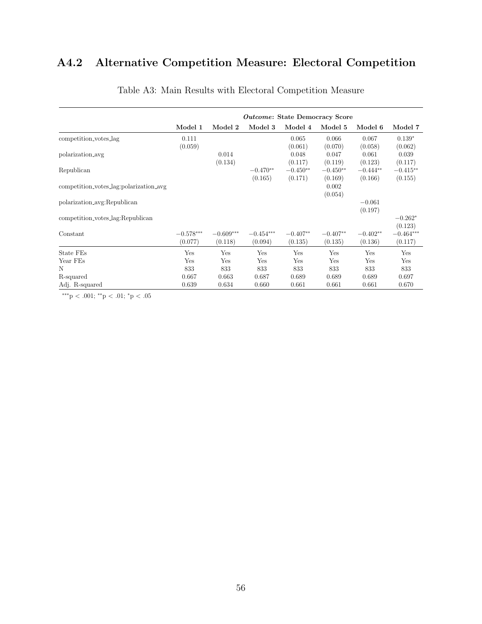## A4.2 Alternative Competition Measure: Electoral Competition

|                                        | <i>Outcome:</i> State Democracy Score |                        |                        |                       |                       |                       |                        |  |
|----------------------------------------|---------------------------------------|------------------------|------------------------|-----------------------|-----------------------|-----------------------|------------------------|--|
|                                        | Model 1                               | Model 2                | Model 3                | Model 4               | Model 5               | Model 6               | Model 7                |  |
| competition_votes_lag                  | 0.111<br>(0.059)                      |                        |                        | 0.065<br>(0.061)      | 0.066<br>(0.070)      | 0.067<br>(0.058)      | $0.139*$<br>(0.062)    |  |
| polarization_avg                       |                                       | 0.014<br>(0.134)       |                        | 0.048<br>(0.117)      | 0.047<br>(0.119)      | 0.061<br>(0.123)      | 0.039<br>(0.117)       |  |
| Republican                             |                                       |                        | $-0.470**$<br>(0.165)  | $-0.450**$<br>(0.171) | $-0.450**$<br>(0.169) | $-0.444**$<br>(0.166) | $-0.415**$<br>(0.155)  |  |
| competition_votes_lag:polarization_avg |                                       |                        |                        |                       | 0.002<br>(0.054)      |                       |                        |  |
| polarization_avg:Republican            |                                       |                        |                        |                       |                       | $-0.061$<br>(0.197)   |                        |  |
| competition_votes_lag:Republican       |                                       |                        |                        |                       |                       |                       | $-0.262*$<br>(0.123)   |  |
| Constant                               | $-0.578***$<br>(0.077)                | $-0.609***$<br>(0.118) | $-0.454***$<br>(0.094) | $-0.407**$<br>(0.135) | $-0.407**$<br>(0.135) | $-0.402**$<br>(0.136) | $-0.464***$<br>(0.117) |  |
| State FEs                              | Yes                                   | Yes                    | Yes                    | Yes                   | Yes                   | Yes                   | Yes                    |  |
| Year FEs                               | Yes                                   | Yes                    | Yes                    | Yes                   | Yes                   | Yes                   | Yes                    |  |
| N                                      | 833                                   | 833                    | 833                    | 833                   | 833                   | 833                   | 833                    |  |
| R-squared                              | 0.667                                 | 0.663                  | 0.687                  | 0.689                 | 0.689                 | 0.689                 | 0.697                  |  |
| Adj. R-squared                         | 0.639                                 | 0.634                  | 0.660                  | 0.661                 | 0.661                 | 0.661                 | 0.670                  |  |

### Table A3: Main Results with Electoral Competition Measure

∗∗∗p < .001; ∗∗p < .01; <sup>∗</sup>p < .05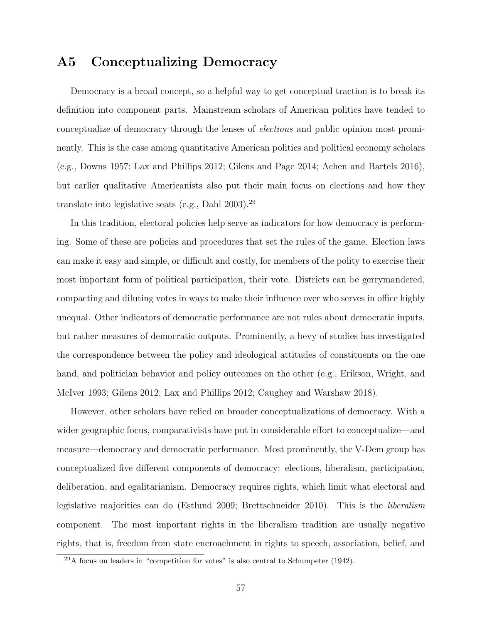### A5 Conceptualizing Democracy

Democracy is a broad concept, so a helpful way to get conceptual traction is to break its definition into component parts. Mainstream scholars of American politics have tended to conceptualize of democracy through the lenses of elections and public opinion most prominently. This is the case among quantitative American politics and political economy scholars (e.g., Downs 1957; Lax and Phillips 2012; Gilens and Page 2014; Achen and Bartels 2016), but earlier qualitative Americanists also put their main focus on elections and how they translate into legislative seats (e.g., Dahl 2003).<sup>29</sup>

In this tradition, electoral policies help serve as indicators for how democracy is performing. Some of these are policies and procedures that set the rules of the game. Election laws can make it easy and simple, or difficult and costly, for members of the polity to exercise their most important form of political participation, their vote. Districts can be gerrymandered, compacting and diluting votes in ways to make their influence over who serves in office highly unequal. Other indicators of democratic performance are not rules about democratic inputs, but rather measures of democratic outputs. Prominently, a bevy of studies has investigated the correspondence between the policy and ideological attitudes of constituents on the one hand, and politician behavior and policy outcomes on the other (e.g., Erikson, Wright, and McIver 1993; Gilens 2012; Lax and Phillips 2012; Caughey and Warshaw 2018).

However, other scholars have relied on broader conceptualizations of democracy. With a wider geographic focus, comparativists have put in considerable effort to conceptualize—and measure—democracy and democratic performance. Most prominently, the V-Dem group has conceptualized five different components of democracy: elections, liberalism, participation, deliberation, and egalitarianism. Democracy requires rights, which limit what electoral and legislative majorities can do (Estlund 2009; Brettschneider 2010). This is the liberalism component. The most important rights in the liberalism tradition are usually negative rights, that is, freedom from state encroachment in rights to speech, association, belief, and

 $^{29}$ A focus on leaders in "competition for votes" is also central to Schumpeter (1942).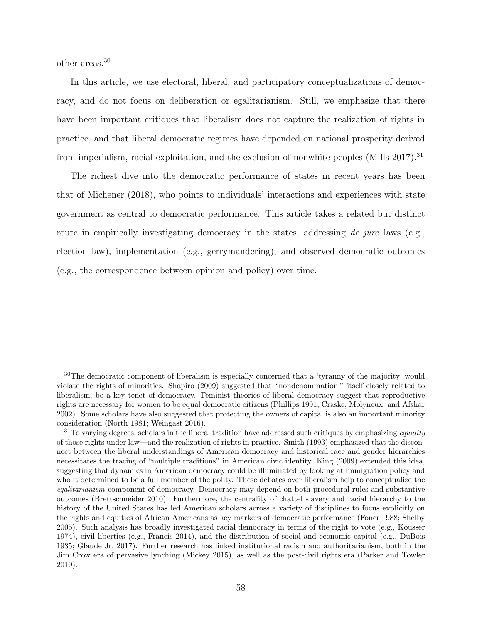other areas.<sup>30</sup>

In this article, we use electoral, liberal, and participatory conceptualizations of democracy, and do not focus on deliberation or egalitarianism. Still, we emphasize that there have been important critiques that liberalism does not capture the realization of rights in practice, and that liberal democratic regimes have depended on national prosperity derived from imperialism, racial exploitation, and the exclusion of nonwhite peoples (Mills 2017).<sup>31</sup>

The richest dive into the democratic performance of states in recent years has been that of Michener (2018), who points to individuals' interactions and experiences with state government as central to democratic performance. This article takes a related but distinct route in empirically investigating democracy in the states, addressing de jure laws (e.g., election law), implementation (e.g., gerrymandering), and observed democratic outcomes (e.g., the correspondence between opinion and policy) over time.

<sup>&</sup>lt;sup>30</sup>The democratic component of liberalism is especially concerned that a 'tyranny of the majority' would violate the rights of minorities. Shapiro (2009) suggested that "nondenomination," itself closely related to liberalism, be a key tenet of democracy. Feminist theories of liberal democracy suggest that reproductive rights are necessary for women to be equal democratic citizens (Phillips 1991; Craske, Molyneux, and Afshar 2002). Some scholars have also suggested that protecting the owners of capital is also an important minority consideration (North 1981; Weingast 2016).

<sup>&</sup>lt;sup>31</sup>To varying degrees, scholars in the liberal tradition have addressed such critiques by emphasizing *equality* of those rights under law—and the realization of rights in practice. Smith (1993) emphasized that the disconnect between the liberal understandings of American democracy and historical race and gender hierarchies necessitates the tracing of "multiple traditions" in American civic identity. King (2009) extended this idea, suggesting that dynamics in American democracy could be illuminated by looking at immigration policy and who it determined to be a full member of the polity. These debates over liberalism help to conceptualize the egalitarianism component of democracy. Democracy may depend on both procedural rules and substantive outcomes (Brettschneider 2010). Furthermore, the centrality of chattel slavery and racial hierarchy to the history of the United States has led American scholars across a variety of disciplines to focus explicitly on the rights and equities of African Americans as key markers of democratic performance (Foner 1988; Shelby 2005). Such analysis has broadly investigated racial democracy in terms of the right to vote (e.g., Kousser 1974), civil liberties (e.g., Francis 2014), and the distribution of social and economic capital (e.g., DuBois 1935; Glaude Jr. 2017). Further research has linked institutional racism and authoritarianism, both in the Jim Crow era of pervasive lynching (Mickey 2015), as well as the post-civil rights era (Parker and Towler 2019).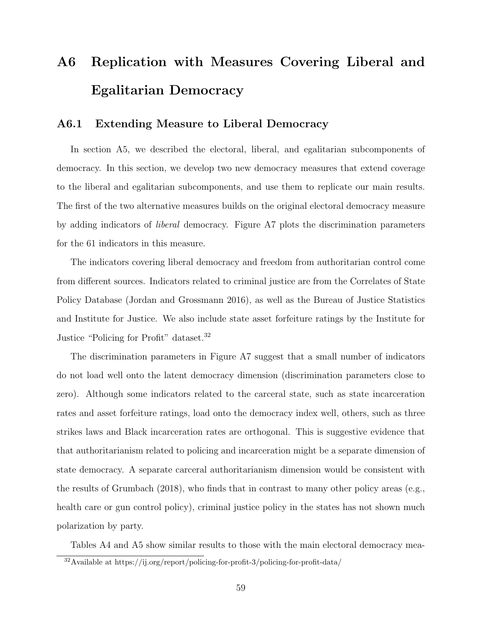# A6 Replication with Measures Covering Liberal and Egalitarian Democracy

### A6.1 Extending Measure to Liberal Democracy

In section A5, we described the electoral, liberal, and egalitarian subcomponents of democracy. In this section, we develop two new democracy measures that extend coverage to the liberal and egalitarian subcomponents, and use them to replicate our main results. The first of the two alternative measures builds on the original electoral democracy measure by adding indicators of liberal democracy. Figure A7 plots the discrimination parameters for the 61 indicators in this measure.

The indicators covering liberal democracy and freedom from authoritarian control come from different sources. Indicators related to criminal justice are from the Correlates of State Policy Database (Jordan and Grossmann 2016), as well as the Bureau of Justice Statistics and Institute for Justice. We also include state asset forfeiture ratings by the Institute for Justice "Policing for Profit" dataset.<sup>32</sup>

The discrimination parameters in Figure A7 suggest that a small number of indicators do not load well onto the latent democracy dimension (discrimination parameters close to zero). Although some indicators related to the carceral state, such as state incarceration rates and asset forfeiture ratings, load onto the democracy index well, others, such as three strikes laws and Black incarceration rates are orthogonal. This is suggestive evidence that that authoritarianism related to policing and incarceration might be a separate dimension of state democracy. A separate carceral authoritarianism dimension would be consistent with the results of Grumbach (2018), who finds that in contrast to many other policy areas (e.g., health care or gun control policy), criminal justice policy in the states has not shown much polarization by party.

Tables A4 and A5 show similar results to those with the main electoral democracy mea-

<sup>32</sup>Available at https://ij.org/report/policing-for-profit-3/policing-for-profit-data/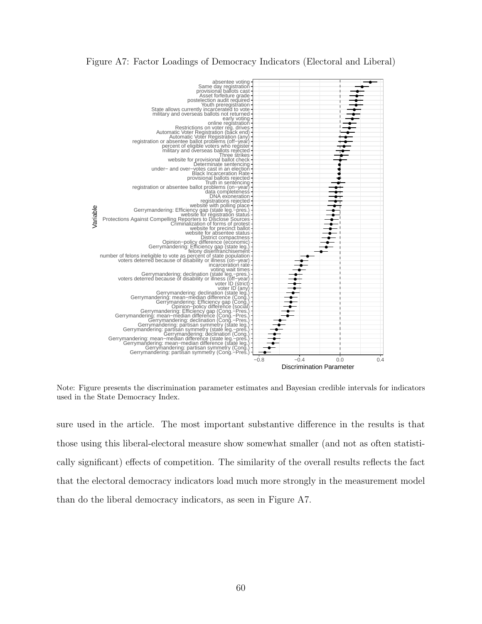#### Figure A7: Factor Loadings of Democracy Indicators (Electoral and Liberal)



Note: Figure presents the discrimination parameter estimates and Bayesian credible intervals for indicators used in the State Democracy Index.

sure used in the article. The most important substantive difference in the results is that those using this liberal-electoral measure show somewhat smaller (and not as often statistically significant) effects of competition. The similarity of the overall results reflects the fact that the electoral democracy indicators load much more strongly in the measurement model than do the liberal democracy indicators, as seen in Figure A7.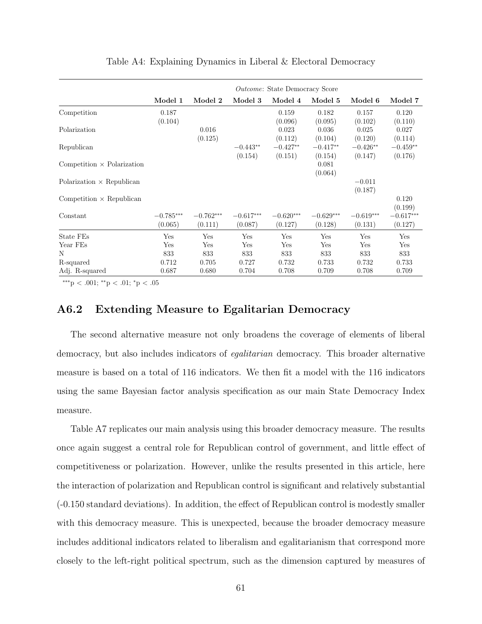|                                   | <i>Outcome:</i> State Democracy Score |             |             |             |             |             |             |  |
|-----------------------------------|---------------------------------------|-------------|-------------|-------------|-------------|-------------|-------------|--|
|                                   | Model 1                               | Model 2     | Model 3     | Model 4     | Model 5     | Model 6     | Model 7     |  |
| Competition                       | 0.187                                 |             |             | 0.159       | 0.182       | 0.157       | 0.120       |  |
|                                   | (0.104)                               |             |             | (0.096)     | (0.095)     | (0.102)     | (0.110)     |  |
| Polarization                      |                                       | 0.016       |             | 0.023       | 0.036       | 0.025       | 0.027       |  |
|                                   |                                       | (0.125)     |             | (0.112)     | (0.104)     | (0.120)     | (0.114)     |  |
| Republican                        |                                       |             | $-0.443**$  | $-0.427**$  | $-0.417**$  | $-0.426**$  | $-0.459**$  |  |
|                                   |                                       |             | (0.154)     | (0.151)     | (0.154)     | (0.147)     | (0.176)     |  |
| Competition $\times$ Polarization |                                       |             |             |             | 0.081       |             |             |  |
|                                   |                                       |             |             |             | (0.064)     |             |             |  |
| Polarization $\times$ Republican  |                                       |             |             |             |             | $-0.011$    |             |  |
|                                   |                                       |             |             |             |             | (0.187)     |             |  |
| Competition $\times$ Republican   |                                       |             |             |             |             |             | 0.120       |  |
|                                   |                                       |             |             |             |             |             | (0.199)     |  |
| Constant                          | $-0.785***$                           | $-0.762***$ | $-0.617***$ | $-0.620***$ | $-0.629***$ | $-0.619***$ | $-0.617***$ |  |
|                                   | (0.065)                               | (0.111)     | (0.087)     | (0.127)     | (0.128)     | (0.131)     | (0.127)     |  |
| State FEs                         | Yes                                   | Yes         | Yes         | Yes         | Yes         | Yes         | Yes         |  |
| Year FEs                          | Yes                                   | Yes         | Yes         | Yes         | Yes         | Yes         | Yes         |  |
| N                                 | 833                                   | 833         | 833         | 833         | 833         | 833         | 833         |  |
| R-squared                         | 0.712                                 | 0.705       | 0.727       | 0.732       | 0.733       | 0.732       | 0.733       |  |
| Adj. R-squared                    | 0.687                                 | 0.680       | 0.704       | 0.708       | 0.709       | 0.708       | 0.709       |  |

Table A4: Explaining Dynamics in Liberal & Electoral Democracy

∗∗∗p < .001; ∗∗p < .01; <sup>∗</sup>p < .05

### A6.2 Extending Measure to Egalitarian Democracy

The second alternative measure not only broadens the coverage of elements of liberal democracy, but also includes indicators of egalitarian democracy. This broader alternative measure is based on a total of 116 indicators. We then fit a model with the 116 indicators using the same Bayesian factor analysis specification as our main State Democracy Index measure.

Table A7 replicates our main analysis using this broader democracy measure. The results once again suggest a central role for Republican control of government, and little effect of competitiveness or polarization. However, unlike the results presented in this article, here the interaction of polarization and Republican control is significant and relatively substantial (-0.150 standard deviations). In addition, the effect of Republican control is modestly smaller with this democracy measure. This is unexpected, because the broader democracy measure includes additional indicators related to liberalism and egalitarianism that correspond more closely to the left-right political spectrum, such as the dimension captured by measures of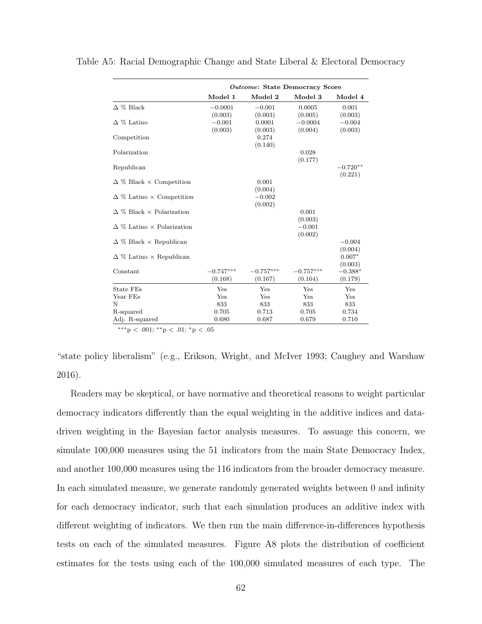|                                         | <i><b>Outcome: State Democracy Score</b></i> |             |             |            |  |  |  |
|-----------------------------------------|----------------------------------------------|-------------|-------------|------------|--|--|--|
|                                         | Model 1                                      | Model 2     | Model 3     | Model 4    |  |  |  |
| $\Delta$ % Black                        | $-0.0001$                                    | $-0.001$    | 0.0005      | 0.001      |  |  |  |
|                                         | (0.003)                                      | (0.003)     | (0.005)     | (0.003)    |  |  |  |
| $\Delta$ % Latino                       | $-0.001$                                     | 0.0001      | $-0.0004$   | $-0.004$   |  |  |  |
|                                         | (0.003)                                      | (0.003)     | (0.004)     | (0.003)    |  |  |  |
| Competition                             |                                              | 0.274       |             |            |  |  |  |
|                                         |                                              | (0.140)     |             |            |  |  |  |
| Polarization                            |                                              |             | 0.028       |            |  |  |  |
|                                         |                                              |             | (0.177)     |            |  |  |  |
| Republican                              |                                              |             |             | $-0.720**$ |  |  |  |
|                                         |                                              |             |             | (0.221)    |  |  |  |
| $\Delta \%$ Black $\times$ Competition  |                                              | 0.001       |             |            |  |  |  |
|                                         |                                              | (0.004)     |             |            |  |  |  |
| $\Delta \%$ Latino $\times$ Competition |                                              | $-0.002$    |             |            |  |  |  |
|                                         |                                              | (0.002)     |             |            |  |  |  |
| $\Delta$ % Black $\times$ Polarization  |                                              |             | 0.001       |            |  |  |  |
|                                         |                                              |             | (0.003)     |            |  |  |  |
| $\Delta$ % Latino $\times$ Polarization |                                              |             | $-0.001$    |            |  |  |  |
|                                         |                                              |             | (0.002)     |            |  |  |  |
| $\Delta \%$ Black $\times$ Republican   |                                              |             |             | $-0.004$   |  |  |  |
|                                         |                                              |             |             | (0.004)    |  |  |  |
| $\Delta \%$ Latino $\times$ Republican  |                                              |             |             | $0.007*$   |  |  |  |
|                                         |                                              |             |             | (0.003)    |  |  |  |
| Constant                                | $-0.747***$                                  | $-0.757***$ | $-0.757***$ | $-0.388*$  |  |  |  |
|                                         | (0.168)                                      | (0.167)     | (0.164)     | (0.179)    |  |  |  |
| <b>State FEs</b>                        | Yes                                          | Yes         | Yes         | Yes        |  |  |  |
| Year FEs                                | Yes                                          | Yes         | Yes         | Yes        |  |  |  |
| N                                       | 833                                          | 833         | 833         | 833        |  |  |  |
| R-squared                               | 0.705                                        | 0.713       | 0.705       | 0.734      |  |  |  |
| Adj. R-squared                          | 0.680                                        | 0.687       | 0.679       | 0.710      |  |  |  |

Table A5: Racial Demographic Change and State Liberal & Electoral Democracy

∗∗∗p < .001; ∗∗p < .01; <sup>∗</sup>p < .05

"state policy liberalism" (e.g., Erikson, Wright, and McIver 1993; Caughey and Warshaw 2016).

Readers may be skeptical, or have normative and theoretical reasons to weight particular democracy indicators differently than the equal weighting in the additive indices and datadriven weighting in the Bayesian factor analysis measures. To assuage this concern, we simulate 100,000 measures using the 51 indicators from the main State Democracy Index, and another 100,000 measures using the 116 indicators from the broader democracy measure. In each simulated measure, we generate randomly generated weights between 0 and infinity for each democracy indicator, such that each simulation produces an additive index with different weighting of indicators. We then run the main difference-in-differences hypothesis tests on each of the simulated measures. Figure A8 plots the distribution of coefficient estimates for the tests using each of the 100,000 simulated measures of each type. The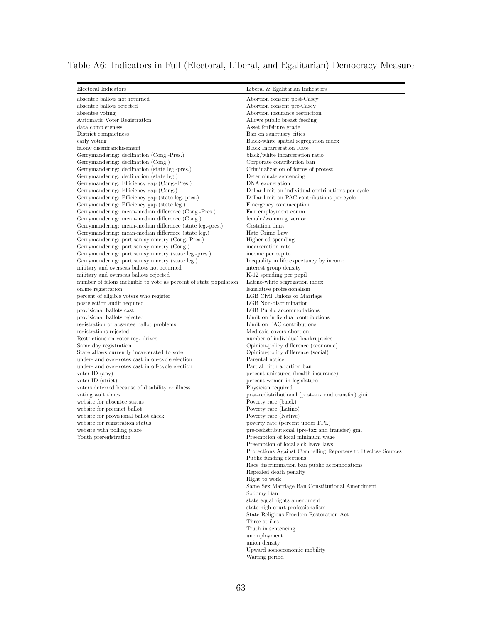| Table A6: Indicators in Full (Electoral, Liberal, and Egalitarian) Democracy Measure |  |  |
|--------------------------------------------------------------------------------------|--|--|
|                                                                                      |  |  |

| Electoral Indicators                                                                                             | Liberal $&$ Egalitarian Indicators                                                   |
|------------------------------------------------------------------------------------------------------------------|--------------------------------------------------------------------------------------|
| absentee ballots not returned                                                                                    | Abortion consent post-Casey                                                          |
| absentee ballots rejected                                                                                        | Abortion consent pre-Casey                                                           |
| absentee voting                                                                                                  | Abortion insurance restriction                                                       |
| Automatic Voter Registration                                                                                     | Allows public breast feeding                                                         |
| data completeness                                                                                                | Asset forfeiture grade                                                               |
| District compactness                                                                                             | Ban on sanctuary cities                                                              |
| early voting                                                                                                     | Black-white spatial segregation index                                                |
| felony disenfranchisement                                                                                        | <b>Black Incarceration Rate</b><br>black/white incarceration ratio                   |
| Gerrymandering: declination (Cong.-Pres.)<br>Gerrymandering: declination (Cong.)                                 | Corporate contribution ban                                                           |
| Gerrymandering: declination (state leg.-pres.)                                                                   | Criminalization of forms of protest                                                  |
| Gerrymandering: declination (state leg.)                                                                         | Determinate sentencing                                                               |
| Gerrymandering: Efficiency gap (Cong.-Pres.)                                                                     | DNA exoneration                                                                      |
| Gerrymandering: Efficiency gap (Cong.)                                                                           | Dollar limit on individual contributions per cycle                                   |
| Gerrymandering: Efficiency gap (state leg.-pres.)                                                                | Dollar limit on PAC contributions per cycle                                          |
| Gerrymandering: Efficiency gap (state leg.)                                                                      | Emergency contraception                                                              |
| Gerrymandering: mean-median difference (Cong.-Pres.)                                                             | Fair employment comm.                                                                |
| Gerrymandering: mean-median difference (Cong.)                                                                   | female/woman governor<br>Gestation limit                                             |
| Gerrymandering: mean-median difference (state leg.-pres.)<br>Gerrymandering: mean-median difference (state leg.) | Hate Crime Law                                                                       |
| Gerrymandering: partisan symmetry (Cong.-Pres.)                                                                  | Higher ed spending                                                                   |
| Gerrymandering: partisan symmetry (Cong.)                                                                        | incarceration rate                                                                   |
| Gerrymandering: partisan symmetry (state leg.-pres.)                                                             | income per capita                                                                    |
| Gerrymandering: partisan symmetry (state leg.)                                                                   | Inequality in life expectancy by income                                              |
| military and overseas ballots not returned                                                                       | interest group density                                                               |
| military and overseas ballots rejected                                                                           | K-12 spending per pupil                                                              |
| number of felons ineligible to vote as percent of state population                                               | Latino-white segregation index                                                       |
| online registration                                                                                              | legislative professionalism                                                          |
| percent of eligible voters who register<br>postelection audit required                                           | LGB Civil Unions or Marriage<br>LGB Non-discrimination                               |
| provisional ballots cast                                                                                         | LGB Public accommodations                                                            |
| provisional ballots rejected                                                                                     | Limit on individual contributions                                                    |
| registration or absentee ballot problems                                                                         | Limit on PAC contributions                                                           |
| registrations rejected                                                                                           | Medicaid covers abortion                                                             |
| Restrictions on voter reg. drives                                                                                | number of individual bankruptcies                                                    |
| Same day registration                                                                                            | Opinion-policy difference (economic)                                                 |
| State allows currently incarcerated to vote                                                                      | Opinion-policy difference (social)                                                   |
| under- and over-votes cast in on-cycle election<br>under- and over-votes cast in off-cycle election              | Parental notice<br>Partial birth abortion ban                                        |
| voter ID $(any)$                                                                                                 | percent uninsured (health insurance)                                                 |
| voter ID (strict)                                                                                                | percent women in legislature                                                         |
| voters deterred because of disability or illness                                                                 | Physician required                                                                   |
| voting wait times                                                                                                | post-redistributional (post-tax and transfer) gini                                   |
| website for absentee status                                                                                      | Poverty rate (black)                                                                 |
| website for precinct ballot                                                                                      | Poverty rate (Latino)                                                                |
| website for provisional ballot check                                                                             | Poverty rate (Native)                                                                |
| website for registration status                                                                                  | poverty rate (percent under FPL)                                                     |
| website with polling place<br>Youth preregistration                                                              | pre-redistributional (pre-tax and transfer) gini<br>Preemption of local minimum wage |
|                                                                                                                  | Preemption of local sick leave laws                                                  |
|                                                                                                                  | Protections Against Compelling Reporters to Disclose Sources                         |
|                                                                                                                  | Public funding elections                                                             |
|                                                                                                                  | Race discrimination ban public accomodations                                         |
|                                                                                                                  | Repealed death penalty                                                               |
|                                                                                                                  | Right to work                                                                        |
|                                                                                                                  | Same Sex Marriage Ban Constitutional Amendment                                       |
|                                                                                                                  | Sodomy Ban<br>state equal rights amendment                                           |
|                                                                                                                  | state high court professionalism                                                     |
|                                                                                                                  | State Religious Freedom Restoration Act                                              |
|                                                                                                                  | Three strikes                                                                        |
|                                                                                                                  | Truth in sentencing                                                                  |
|                                                                                                                  | unemployment                                                                         |
|                                                                                                                  | union density                                                                        |
|                                                                                                                  | Upward socioeconomic mobility                                                        |
|                                                                                                                  | Waiting period                                                                       |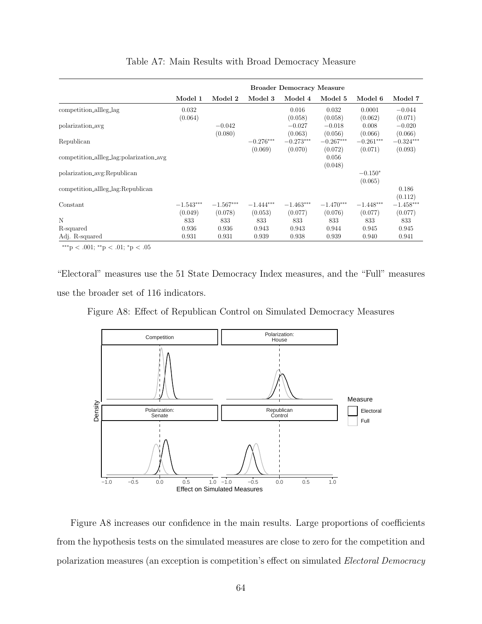|                                         | <b>Broader Democracy Measure</b> |                        |                        |                        |                        |                        |                        |  |
|-----------------------------------------|----------------------------------|------------------------|------------------------|------------------------|------------------------|------------------------|------------------------|--|
|                                         | Model 1                          | Model 2                | Model 3                | Model 4                | Model 5                | Model 6                | Model 7                |  |
| competition_allleg_lag                  | 0.032<br>(0.064)                 |                        |                        | 0.016<br>(0.058)       | 0.032<br>(0.058)       | 0.0001<br>(0.062)      | $-0.044$<br>(0.071)    |  |
| polarization_avg                        |                                  | $-0.042$<br>(0.080)    |                        | $-0.027$<br>(0.063)    | $-0.018$<br>(0.056)    | 0.008<br>(0.066)       | $-0.020$<br>(0.066)    |  |
| Republican                              |                                  |                        | $-0.276***$<br>(0.069) | $-0.273***$<br>(0.070) | $-0.267***$<br>(0.072) | $-0.261***$<br>(0.071) | $-0.324***$<br>(0.093) |  |
| competition_allleg_lag:polarization_avg |                                  |                        |                        |                        | 0.056<br>(0.048)       |                        |                        |  |
| polarization_avg:Republican             |                                  |                        |                        |                        |                        | $-0.150*$<br>(0.065)   |                        |  |
| competition_allleg_lag:Republican       |                                  |                        |                        |                        |                        |                        | 0.186<br>(0.112)       |  |
| Constant                                | $-1.543***$<br>(0.049)           | $-1.567***$<br>(0.078) | $-1.444***$<br>(0.053) | $-1.463***$<br>(0.077) | $-1.470***$<br>(0.076) | $-1.448***$<br>(0.077) | $-1.458***$<br>(0.077) |  |
| N                                       | 833                              | 833                    | 833                    | 833                    | 833                    | 833                    | 833                    |  |
| R-squared<br>Adj. R-squared             | 0.936<br>0.931                   | 0.936<br>0.931         | 0.943<br>0.939         | 0.943<br>0.938         | 0.944<br>0.939         | 0.945<br>0.940         | 0.945<br>0.941         |  |

#### Table A7: Main Results with Broad Democracy Measure

∗∗∗p < .001; ∗∗p < .01; <sup>∗</sup>p < .05

"Electoral" measures use the 51 State Democracy Index measures, and the "Full" measures use the broader set of 116 indicators.

Figure A8: Effect of Republican Control on Simulated Democracy Measures



Figure A8 increases our confidence in the main results. Large proportions of coefficients from the hypothesis tests on the simulated measures are close to zero for the competition and polarization measures (an exception is competition's effect on simulated Electoral Democracy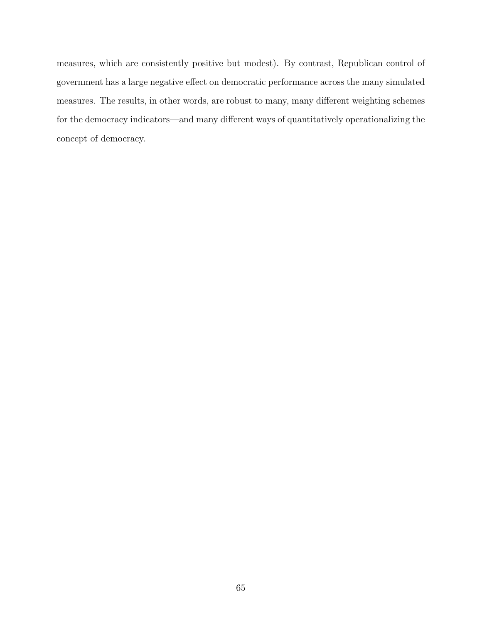measures, which are consistently positive but modest). By contrast, Republican control of government has a large negative effect on democratic performance across the many simulated measures. The results, in other words, are robust to many, many different weighting schemes for the democracy indicators—and many different ways of quantitatively operationalizing the concept of democracy.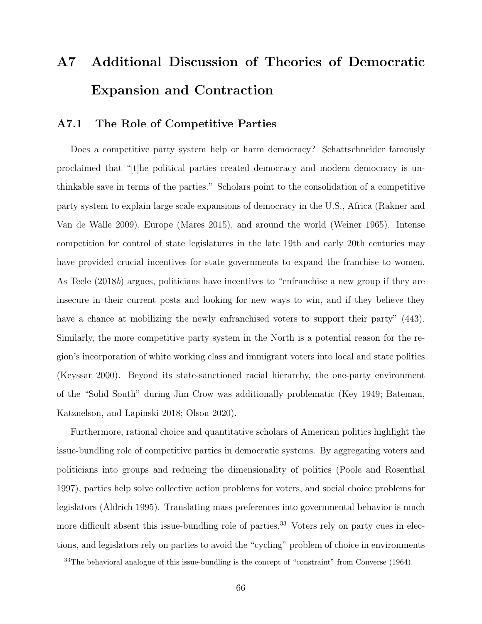# A7 Additional Discussion of Theories of Democratic Expansion and Contraction

### A7.1 The Role of Competitive Parties

Does a competitive party system help or harm democracy? Schattschneider famously proclaimed that "[t]he political parties created democracy and modern democracy is unthinkable save in terms of the parties." Scholars point to the consolidation of a competitive party system to explain large scale expansions of democracy in the U.S., Africa (Rakner and Van de Walle 2009), Europe (Mares 2015), and around the world (Weiner 1965). Intense competition for control of state legislatures in the late 19th and early 20th centuries may have provided crucial incentives for state governments to expand the franchise to women. As Teele (2018b) argues, politicians have incentives to "enfranchise a new group if they are insecure in their current posts and looking for new ways to win, and if they believe they have a chance at mobilizing the newly enfranchised voters to support their party"  $(443)$ . Similarly, the more competitive party system in the North is a potential reason for the region's incorporation of white working class and immigrant voters into local and state politics (Keyssar 2000). Beyond its state-sanctioned racial hierarchy, the one-party environment of the "Solid South" during Jim Crow was additionally problematic (Key 1949; Bateman, Katznelson, and Lapinski 2018; Olson 2020).

Furthermore, rational choice and quantitative scholars of American politics highlight the issue-bundling role of competitive parties in democratic systems. By aggregating voters and politicians into groups and reducing the dimensionality of politics (Poole and Rosenthal 1997), parties help solve collective action problems for voters, and social choice problems for legislators (Aldrich 1995). Translating mass preferences into governmental behavior is much more difficult absent this issue-bundling role of parties.<sup>33</sup> Voters rely on party cues in elections, and legislators rely on parties to avoid the "cycling" problem of choice in environments

<sup>&</sup>lt;sup>33</sup>The behavioral analogue of this issue-bundling is the concept of "constraint" from Converse (1964).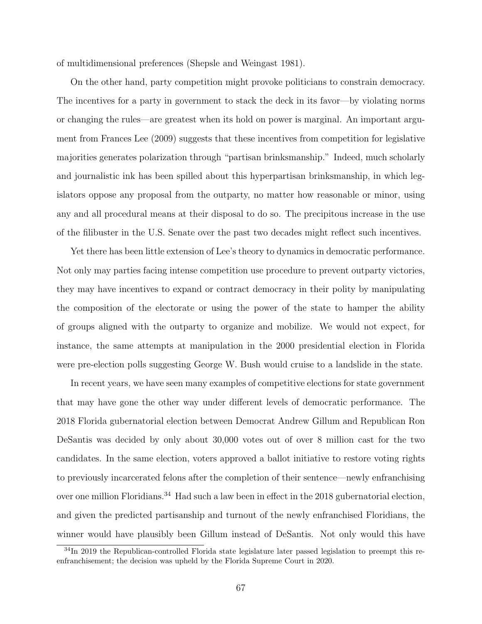of multidimensional preferences (Shepsle and Weingast 1981).

On the other hand, party competition might provoke politicians to constrain democracy. The incentives for a party in government to stack the deck in its favor—by violating norms or changing the rules—are greatest when its hold on power is marginal. An important argument from Frances Lee (2009) suggests that these incentives from competition for legislative majorities generates polarization through "partisan brinksmanship." Indeed, much scholarly and journalistic ink has been spilled about this hyperpartisan brinksmanship, in which legislators oppose any proposal from the outparty, no matter how reasonable or minor, using any and all procedural means at their disposal to do so. The precipitous increase in the use of the filibuster in the U.S. Senate over the past two decades might reflect such incentives.

Yet there has been little extension of Lee's theory to dynamics in democratic performance. Not only may parties facing intense competition use procedure to prevent outparty victories, they may have incentives to expand or contract democracy in their polity by manipulating the composition of the electorate or using the power of the state to hamper the ability of groups aligned with the outparty to organize and mobilize. We would not expect, for instance, the same attempts at manipulation in the 2000 presidential election in Florida were pre-election polls suggesting George W. Bush would cruise to a landslide in the state.

In recent years, we have seen many examples of competitive elections for state government that may have gone the other way under different levels of democratic performance. The 2018 Florida gubernatorial election between Democrat Andrew Gillum and Republican Ron DeSantis was decided by only about 30,000 votes out of over 8 million cast for the two candidates. In the same election, voters approved a ballot initiative to restore voting rights to previously incarcerated felons after the completion of their sentence—newly enfranchising over one million Floridians.<sup>34</sup> Had such a law been in effect in the 2018 gubernatorial election, and given the predicted partisanship and turnout of the newly enfranchised Floridians, the winner would have plausibly been Gillum instead of DeSantis. Not only would this have

<sup>&</sup>lt;sup>34</sup>In 2019 the Republican-controlled Florida state legislature later passed legislation to preempt this reenfranchisement; the decision was upheld by the Florida Supreme Court in 2020.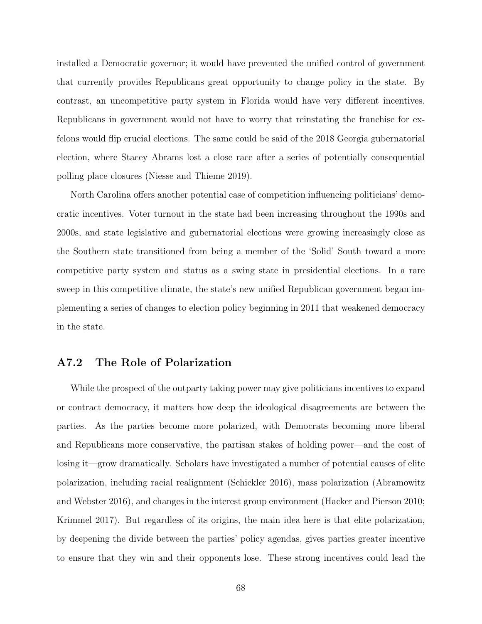installed a Democratic governor; it would have prevented the unified control of government that currently provides Republicans great opportunity to change policy in the state. By contrast, an uncompetitive party system in Florida would have very different incentives. Republicans in government would not have to worry that reinstating the franchise for exfelons would flip crucial elections. The same could be said of the 2018 Georgia gubernatorial election, where Stacey Abrams lost a close race after a series of potentially consequential polling place closures (Niesse and Thieme 2019).

North Carolina offers another potential case of competition influencing politicians' democratic incentives. Voter turnout in the state had been increasing throughout the 1990s and 2000s, and state legislative and gubernatorial elections were growing increasingly close as the Southern state transitioned from being a member of the 'Solid' South toward a more competitive party system and status as a swing state in presidential elections. In a rare sweep in this competitive climate, the state's new unified Republican government began implementing a series of changes to election policy beginning in 2011 that weakened democracy in the state.

### A7.2 The Role of Polarization

While the prospect of the outparty taking power may give politicians incentives to expand or contract democracy, it matters how deep the ideological disagreements are between the parties. As the parties become more polarized, with Democrats becoming more liberal and Republicans more conservative, the partisan stakes of holding power—and the cost of losing it—grow dramatically. Scholars have investigated a number of potential causes of elite polarization, including racial realignment (Schickler 2016), mass polarization (Abramowitz and Webster 2016), and changes in the interest group environment (Hacker and Pierson 2010; Krimmel 2017). But regardless of its origins, the main idea here is that elite polarization, by deepening the divide between the parties' policy agendas, gives parties greater incentive to ensure that they win and their opponents lose. These strong incentives could lead the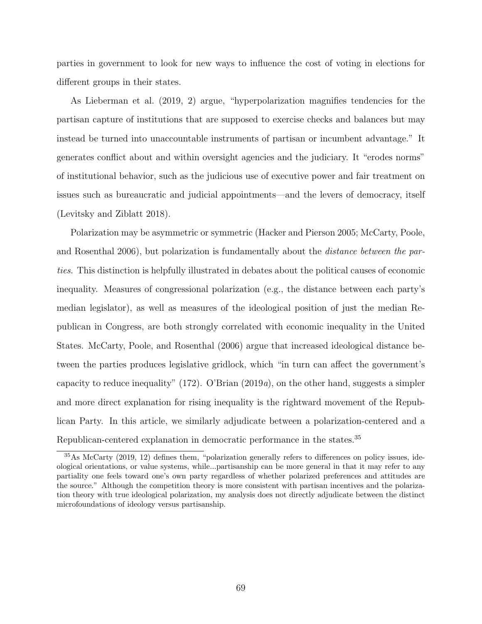parties in government to look for new ways to influence the cost of voting in elections for different groups in their states.

As Lieberman et al. (2019, 2) argue, "hyperpolarization magnifies tendencies for the partisan capture of institutions that are supposed to exercise checks and balances but may instead be turned into unaccountable instruments of partisan or incumbent advantage." It generates conflict about and within oversight agencies and the judiciary. It "erodes norms" of institutional behavior, such as the judicious use of executive power and fair treatment on issues such as bureaucratic and judicial appointments—and the levers of democracy, itself (Levitsky and Ziblatt 2018).

Polarization may be asymmetric or symmetric (Hacker and Pierson 2005; McCarty, Poole, and Rosenthal 2006), but polarization is fundamentally about the distance between the parties. This distinction is helpfully illustrated in debates about the political causes of economic inequality. Measures of congressional polarization (e.g., the distance between each party's median legislator), as well as measures of the ideological position of just the median Republican in Congress, are both strongly correlated with economic inequality in the United States. McCarty, Poole, and Rosenthal (2006) argue that increased ideological distance between the parties produces legislative gridlock, which "in turn can affect the government's capacity to reduce inequality" (172). O'Brian (2019a), on the other hand, suggests a simpler and more direct explanation for rising inequality is the rightward movement of the Republican Party. In this article, we similarly adjudicate between a polarization-centered and a Republican-centered explanation in democratic performance in the states.<sup>35</sup>

<sup>35</sup>As McCarty (2019, 12) defines them, "polarization generally refers to differences on policy issues, ideological orientations, or value systems, while...partisanship can be more general in that it may refer to any partiality one feels toward one's own party regardless of whether polarized preferences and attitudes are the source." Although the competition theory is more consistent with partisan incentives and the polarization theory with true ideological polarization, my analysis does not directly adjudicate between the distinct microfoundations of ideology versus partisanship.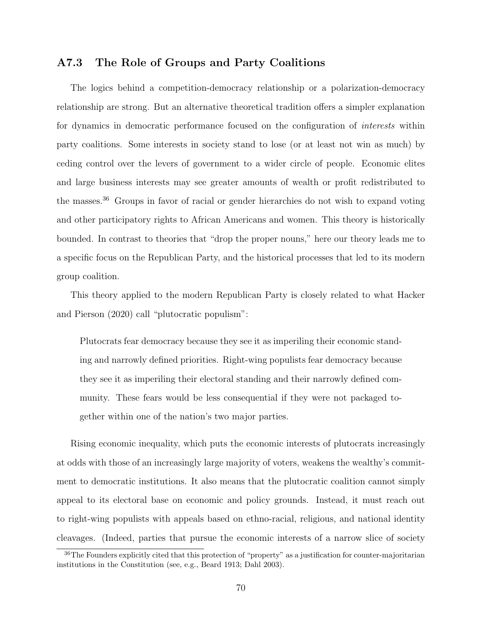### A7.3 The Role of Groups and Party Coalitions

The logics behind a competition-democracy relationship or a polarization-democracy relationship are strong. But an alternative theoretical tradition offers a simpler explanation for dynamics in democratic performance focused on the configuration of interests within party coalitions. Some interests in society stand to lose (or at least not win as much) by ceding control over the levers of government to a wider circle of people. Economic elites and large business interests may see greater amounts of wealth or profit redistributed to the masses.<sup>36</sup> Groups in favor of racial or gender hierarchies do not wish to expand voting and other participatory rights to African Americans and women. This theory is historically bounded. In contrast to theories that "drop the proper nouns," here our theory leads me to a specific focus on the Republican Party, and the historical processes that led to its modern group coalition.

This theory applied to the modern Republican Party is closely related to what Hacker and Pierson (2020) call "plutocratic populism":

Plutocrats fear democracy because they see it as imperiling their economic standing and narrowly defined priorities. Right-wing populists fear democracy because they see it as imperiling their electoral standing and their narrowly defined community. These fears would be less consequential if they were not packaged together within one of the nation's two major parties.

Rising economic inequality, which puts the economic interests of plutocrats increasingly at odds with those of an increasingly large majority of voters, weakens the wealthy's commitment to democratic institutions. It also means that the plutocratic coalition cannot simply appeal to its electoral base on economic and policy grounds. Instead, it must reach out to right-wing populists with appeals based on ethno-racial, religious, and national identity cleavages. (Indeed, parties that pursue the economic interests of a narrow slice of society

<sup>36</sup>The Founders explicitly cited that this protection of "property" as a justification for counter-majoritarian institutions in the Constitution (see, e.g., Beard 1913; Dahl 2003).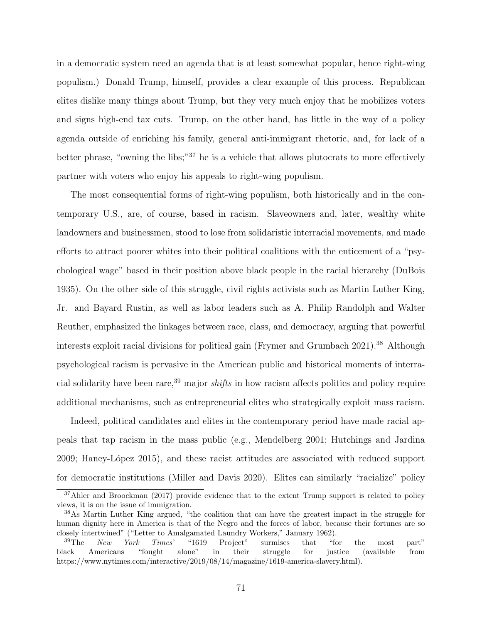in a democratic system need an agenda that is at least somewhat popular, hence right-wing populism.) Donald Trump, himself, provides a clear example of this process. Republican elites dislike many things about Trump, but they very much enjoy that he mobilizes voters and signs high-end tax cuts. Trump, on the other hand, has little in the way of a policy agenda outside of enriching his family, general anti-immigrant rhetoric, and, for lack of a better phrase, "owning the libs;"<sup>37</sup> he is a vehicle that allows plutocrats to more effectively partner with voters who enjoy his appeals to right-wing populism.

The most consequential forms of right-wing populism, both historically and in the contemporary U.S., are, of course, based in racism. Slaveowners and, later, wealthy white landowners and businessmen, stood to lose from solidaristic interracial movements, and made efforts to attract poorer whites into their political coalitions with the enticement of a "psychological wage" based in their position above black people in the racial hierarchy (DuBois 1935). On the other side of this struggle, civil rights activists such as Martin Luther King, Jr. and Bayard Rustin, as well as labor leaders such as A. Philip Randolph and Walter Reuther, emphasized the linkages between race, class, and democracy, arguing that powerful interests exploit racial divisions for political gain (Frymer and Grumbach 2021).<sup>38</sup> Although psychological racism is pervasive in the American public and historical moments of interracial solidarity have been rare,<sup>39</sup> major *shifts* in how racism affects politics and policy require additional mechanisms, such as entrepreneurial elites who strategically exploit mass racism.

Indeed, political candidates and elites in the contemporary period have made racial appeals that tap racism in the mass public (e.g., Mendelberg 2001; Hutchings and Jardina 2009; Haney-L´opez 2015), and these racist attitudes are associated with reduced support for democratic institutions (Miller and Davis 2020). Elites can similarly "racialize" policy

<sup>&</sup>lt;sup>37</sup>Ahler and Broockman (2017) provide evidence that to the extent Trump support is related to policy views, it is on the issue of immigration.

<sup>38</sup>As Martin Luther King argued, "the coalition that can have the greatest impact in the struggle for human dignity here in America is that of the Negro and the forces of labor, because their fortunes are so closely intertwined" ("Letter to Amalgamated Laundry Workers," January 1962).

 $39\text{The}$  New York Times' "1619 Project" surmises that "for the most part" black Americans "fought alone" in their struggle for justice (available from https://www.nytimes.com/interactive/2019/08/14/magazine/1619-america-slavery.html).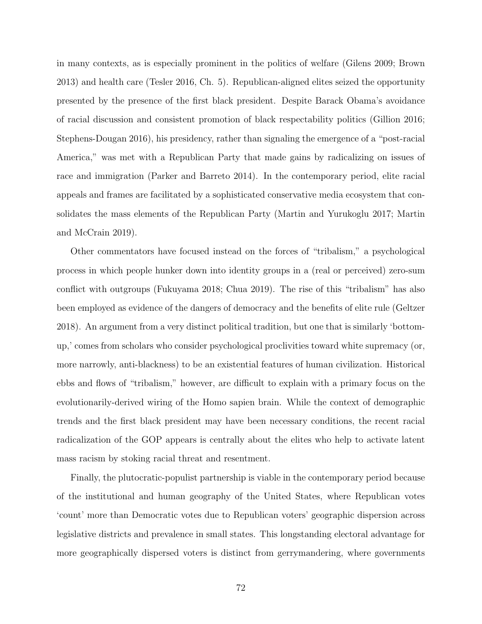in many contexts, as is especially prominent in the politics of welfare (Gilens 2009; Brown 2013) and health care (Tesler 2016, Ch. 5). Republican-aligned elites seized the opportunity presented by the presence of the first black president. Despite Barack Obama's avoidance of racial discussion and consistent promotion of black respectability politics (Gillion 2016; Stephens-Dougan 2016), his presidency, rather than signaling the emergence of a "post-racial America," was met with a Republican Party that made gains by radicalizing on issues of race and immigration (Parker and Barreto 2014). In the contemporary period, elite racial appeals and frames are facilitated by a sophisticated conservative media ecosystem that consolidates the mass elements of the Republican Party (Martin and Yurukoglu 2017; Martin and McCrain 2019).

Other commentators have focused instead on the forces of "tribalism," a psychological process in which people hunker down into identity groups in a (real or perceived) zero-sum conflict with outgroups (Fukuyama 2018; Chua 2019). The rise of this "tribalism" has also been employed as evidence of the dangers of democracy and the benefits of elite rule (Geltzer 2018). An argument from a very distinct political tradition, but one that is similarly 'bottomup,' comes from scholars who consider psychological proclivities toward white supremacy (or, more narrowly, anti-blackness) to be an existential features of human civilization. Historical ebbs and flows of "tribalism," however, are difficult to explain with a primary focus on the evolutionarily-derived wiring of the Homo sapien brain. While the context of demographic trends and the first black president may have been necessary conditions, the recent racial radicalization of the GOP appears is centrally about the elites who help to activate latent mass racism by stoking racial threat and resentment.

Finally, the plutocratic-populist partnership is viable in the contemporary period because of the institutional and human geography of the United States, where Republican votes 'count' more than Democratic votes due to Republican voters' geographic dispersion across legislative districts and prevalence in small states. This longstanding electoral advantage for more geographically dispersed voters is distinct from gerrymandering, where governments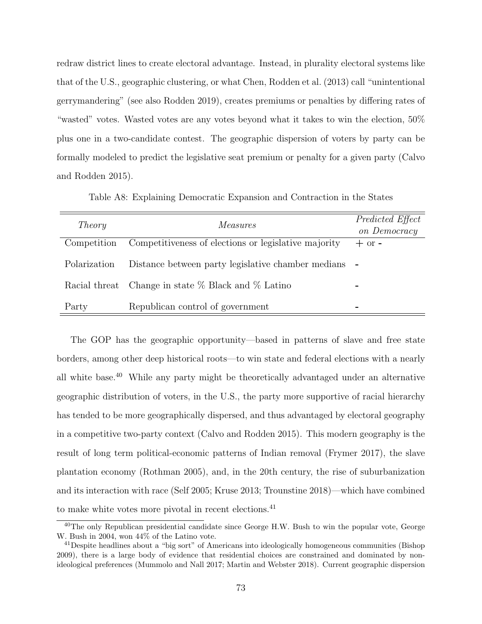redraw district lines to create electoral advantage. Instead, in plurality electoral systems like that of the U.S., geographic clustering, or what Chen, Rodden et al. (2013) call "unintentional gerrymandering" (see also Rodden 2019), creates premiums or penalties by differing rates of "wasted" votes. Wasted votes are any votes beyond what it takes to win the election, 50% plus one in a two-candidate contest. The geographic dispersion of voters by party can be formally modeled to predict the legislative seat premium or penalty for a given party (Calvo and Rodden 2015).

Table A8: Explaining Democratic Expansion and Contraction in the States

| Theory       | <i>Measures</i>                                                                                                  | Predicted Effect<br>on Democracy |
|--------------|------------------------------------------------------------------------------------------------------------------|----------------------------------|
| Competition  | Competitiveness of elections or legislative majority                                                             | $+$ or $-$                       |
| Polarization | Distance between party legislative chamber medians -<br>Racial threat Change in state $\%$ Black and $\%$ Latino |                                  |
| Party        | Republican control of government                                                                                 |                                  |

The GOP has the geographic opportunity—based in patterns of slave and free state borders, among other deep historical roots—to win state and federal elections with a nearly all white base.<sup>40</sup> While any party might be theoretically advantaged under an alternative geographic distribution of voters, in the U.S., the party more supportive of racial hierarchy has tended to be more geographically dispersed, and thus advantaged by electoral geography in a competitive two-party context (Calvo and Rodden 2015). This modern geography is the result of long term political-economic patterns of Indian removal (Frymer 2017), the slave plantation economy (Rothman 2005), and, in the 20th century, the rise of suburbanization and its interaction with race (Self 2005; Kruse 2013; Trounstine 2018)—which have combined to make white votes more pivotal in recent elections.<sup>41</sup>

<sup>&</sup>lt;sup>40</sup>The only Republican presidential candidate since George H.W. Bush to win the popular vote, George W. Bush in 2004, won 44% of the Latino vote.

<sup>41</sup>Despite headlines about a "big sort" of Americans into ideologically homogeneous communities (Bishop 2009), there is a large body of evidence that residential choices are constrained and dominated by nonideological preferences (Mummolo and Nall 2017; Martin and Webster 2018). Current geographic dispersion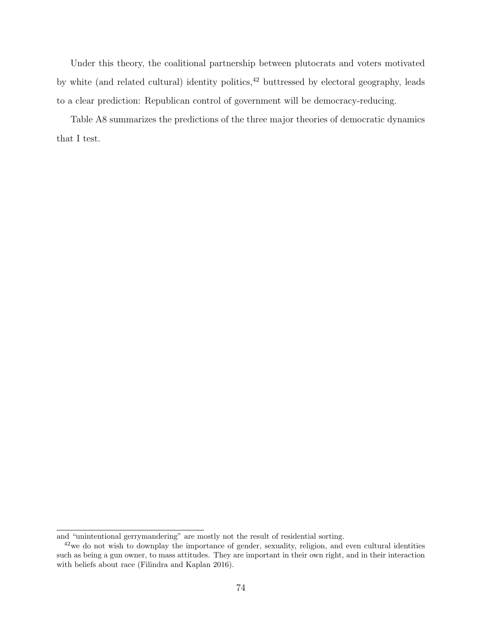Under this theory, the coalitional partnership between plutocrats and voters motivated by white (and related cultural) identity politics,<sup>42</sup> buttressed by electoral geography, leads to a clear prediction: Republican control of government will be democracy-reducing.

Table A8 summarizes the predictions of the three major theories of democratic dynamics that I test.

and "unintentional gerrymandering" are mostly not the result of residential sorting.

<sup>&</sup>lt;sup>42</sup>we do not wish to downplay the importance of gender, sexuality, religion, and even cultural identities such as being a gun owner, to mass attitudes. They are important in their own right, and in their interaction with beliefs about race (Filindra and Kaplan 2016).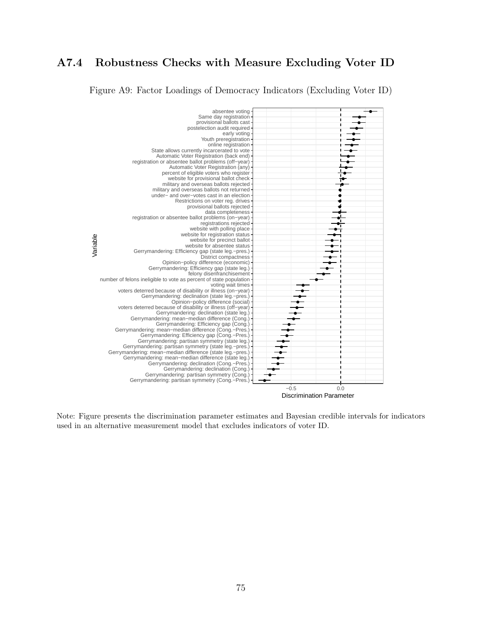## A7.4 Robustness Checks with Measure Excluding Voter ID

Figure A9: Factor Loadings of Democracy Indicators (Excluding Voter ID)



Note: Figure presents the discrimination parameter estimates and Bayesian credible intervals for indicators used in an alternative measurement model that excludes indicators of voter ID.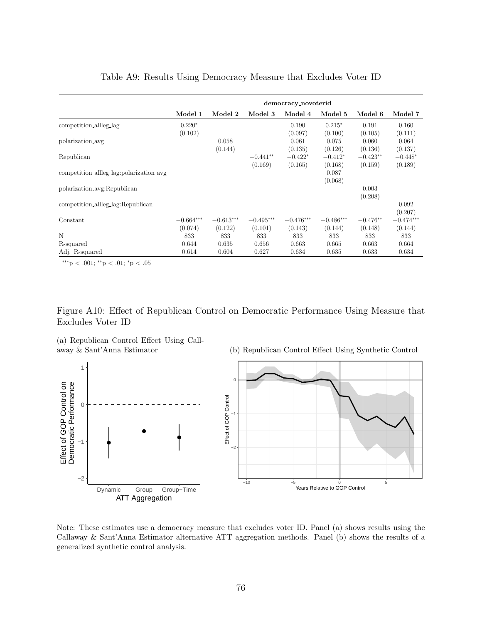|                                         | democracy_novoterid    |                        |                        |                        |                        |                       |                        |  |  |
|-----------------------------------------|------------------------|------------------------|------------------------|------------------------|------------------------|-----------------------|------------------------|--|--|
|                                         | Model 1                | Model 2                | Model 3                | Model 4                | Model 5                | Model 6               | Model 7                |  |  |
| competition_allleg_lag                  | $0.220*$<br>(0.102)    |                        |                        | 0.190<br>(0.097)       | $0.215*$<br>(0.100)    | 0.191<br>(0.105)      | 0.160<br>(0.111)       |  |  |
| polarization_avg                        |                        | 0.058<br>(0.144)       |                        | 0.061<br>(0.135)       | 0.075<br>(0.126)       | 0.060<br>(0.136)      | 0.064<br>(0.137)       |  |  |
| Republican                              |                        |                        | $-0.441**$<br>(0.169)  | $-0.422*$<br>(0.165)   | $-0.412*$<br>(0.168)   | $-0.423**$<br>(0.159) | $-0.448*$<br>(0.189)   |  |  |
| competition_allleg_lag:polarization_avg |                        |                        |                        |                        | 0.087<br>(0.068)       |                       |                        |  |  |
| polarization_avg:Republican             |                        |                        |                        |                        |                        | 0.003<br>(0.208)      |                        |  |  |
| competition_allleg_lag:Republican       |                        |                        |                        |                        |                        |                       | 0.092<br>(0.207)       |  |  |
| Constant                                | $-0.664***$<br>(0.074) | $-0.613***$<br>(0.122) | $-0.495***$<br>(0.101) | $-0.476***$<br>(0.143) | $-0.486***$<br>(0.144) | $-0.476**$<br>(0.148) | $-0.474***$<br>(0.144) |  |  |
| N                                       | 833                    | 833                    | 833                    | 833                    | 833                    | 833                   | 833                    |  |  |
| R-squared                               | 0.644                  | 0.635                  | 0.656                  | 0.663                  | 0.665                  | 0.663                 | 0.664                  |  |  |
| Adj. R-squared                          | 0.614                  | 0.604                  | 0.627                  | 0.634                  | 0.635                  | 0.633                 | 0.634                  |  |  |

## Table A9: Results Using Democracy Measure that Excludes Voter ID

∗∗∗p < .001; ∗∗p < .01; <sup>∗</sup>p < .05

Figure A10: Effect of Republican Control on Democratic Performance Using Measure that Excludes Voter ID

(a) Republican Control Effect Using Callaway & Sant'Anna Estimator

(b) Republican Control Effect Using Synthetic Control



Note: These estimates use a democracy measure that excludes voter ID. Panel (a) shows results using the Callaway & Sant'Anna Estimator alternative ATT aggregation methods. Panel (b) shows the results of a generalized synthetic control analysis.